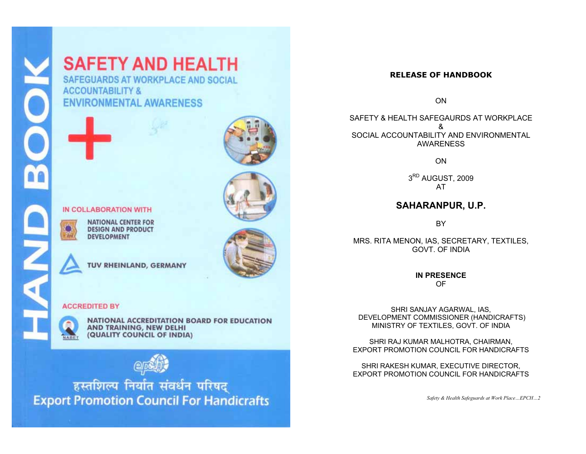# **SAFETY AND HEALTH**

SAFEGUARDS AT WORKPLACE AND SOCIAL **ACCOUNTABILITY & ENVIRONMENTAL AWARENESS** 



#### IN COLLABORATION WITH

**NATIONAL CENTER FOR DESIGN AND PRODUCT DEVELOPMENT** 

TUV RHEINLAND, GERMANY

#### **ACCREDITED BY**



NATIONAL ACCREDITATION BOARD FOR EDUCATION AND TRAINING, NEW DELHI (QUALITY COUNCIL OF INDIA)



हस्तशिल्प निर्यात संवर्धन परिषद् **Export Promotion Council For Handicrafts** 

#### **RELEASE OF HANDBOOK**

ON

SAFFTY & HEALTH SAFEGAURDS AT WORKPLACE & SOCIAL ACCOUNTABILITY AND ENVIRONMENTAL AWARENESS

**ON** 

3<sup>RD</sup> AUGUST, 2009 AT

#### **SAHARANPUR, U.P.**

BY

MRS. RITA MENON, IAS, SECRETARY, TEXTILES, GOVT. OF INDIA

> **IN PRESENCE** OF

SHRI SANJAY AGARWAL, IAS, DEVELOPMENT COMMISSIONER (HANDICRAFTS) MINISTRY OF TEXTILES, GOVT. OF INDIA

SHRI RAJ KUMAR MALHOTRA, CHAIRMAN, EXPORT PROMOTION COUNCIL FOR HANDICRAFTS

SHRI RAKESH KUMAR, EXECUTIVE DIRECTOR, EXPORT PROMOTION COUNCIL FOR HANDICRAFTS

*Safety & Health Safeguards at Work Place…EPCH…2* 

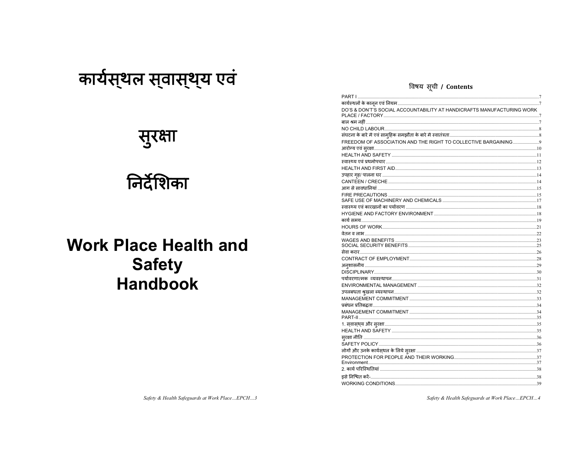# कार्यस्थल स्वास्थ्य एवं

# सुरक्षा

# निर्देशिका

# **Work Place Health and Safety Handbook**

#### विषय सूची / Contents

| .<br>DO'S & DON'T'S SOCIAL ACCOUNTABILITY AT HANDICRAFTS MANUFACTURING WORK |     |
|-----------------------------------------------------------------------------|-----|
|                                                                             |     |
|                                                                             |     |
|                                                                             |     |
| FREEDOM OF ASSOCIATION AND THE RIGHT TO COLLECTIVE BARGAINING9              |     |
|                                                                             |     |
|                                                                             |     |
|                                                                             |     |
|                                                                             |     |
|                                                                             |     |
|                                                                             |     |
|                                                                             |     |
|                                                                             |     |
|                                                                             |     |
|                                                                             |     |
|                                                                             |     |
|                                                                             |     |
|                                                                             |     |
|                                                                             |     |
|                                                                             |     |
|                                                                             |     |
|                                                                             |     |
|                                                                             |     |
|                                                                             |     |
|                                                                             |     |
|                                                                             |     |
|                                                                             |     |
|                                                                             |     |
|                                                                             |     |
|                                                                             |     |
|                                                                             |     |
|                                                                             |     |
|                                                                             |     |
|                                                                             |     |
|                                                                             |     |
|                                                                             |     |
|                                                                             |     |
|                                                                             |     |
|                                                                             |     |
|                                                                             |     |
|                                                                             | .39 |

Safety & Health Safeguards at Work Place...EPCH...3

Safety & Health Safeguards at Work Place...EPCH...4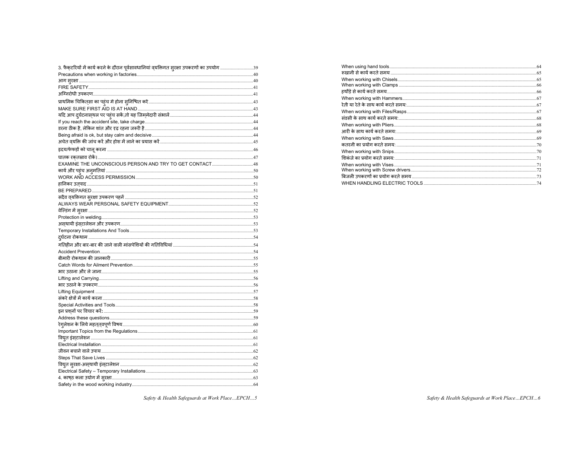| 3. फैक्टरियों में कार्य करने के दौरान पूर्वसावधानियां व् <mark>यक्तिगत सुरक्षा उपकरणों का उपयोग </mark> .39 |  |
|-------------------------------------------------------------------------------------------------------------|--|
|                                                                                                             |  |
|                                                                                                             |  |
|                                                                                                             |  |
|                                                                                                             |  |
|                                                                                                             |  |
|                                                                                                             |  |
|                                                                                                             |  |
|                                                                                                             |  |
|                                                                                                             |  |
|                                                                                                             |  |
|                                                                                                             |  |
|                                                                                                             |  |
|                                                                                                             |  |
| EXAMINE THE UNCONSCIOUS PERSON AND TRY TO GET CONTACT48                                                     |  |
|                                                                                                             |  |
|                                                                                                             |  |
|                                                                                                             |  |
|                                                                                                             |  |
|                                                                                                             |  |
|                                                                                                             |  |
|                                                                                                             |  |
|                                                                                                             |  |
|                                                                                                             |  |
|                                                                                                             |  |
|                                                                                                             |  |
|                                                                                                             |  |
|                                                                                                             |  |
|                                                                                                             |  |
|                                                                                                             |  |
|                                                                                                             |  |
|                                                                                                             |  |
|                                                                                                             |  |
|                                                                                                             |  |
|                                                                                                             |  |
|                                                                                                             |  |
|                                                                                                             |  |
|                                                                                                             |  |
|                                                                                                             |  |
|                                                                                                             |  |
|                                                                                                             |  |
|                                                                                                             |  |
|                                                                                                             |  |
|                                                                                                             |  |
|                                                                                                             |  |
|                                                                                                             |  |
|                                                                                                             |  |

Safety & Health Safeguards at Work Place...EPCH...5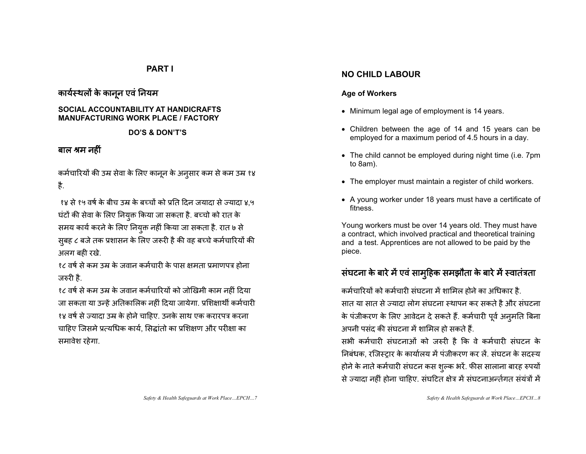#### **PART I**

#### कार्यस्थलों के कानून एवं नियम

#### **SOCIAL ACCOUNTABILITY AT HANDICRAFTS MANUFACTURING WORK PLACE / FACTORY**

#### **DO'S & DON'T'S**

#### बाल श्रम नहीं

कर्मचारियों की उम्र सेवा के लिए कानून के अनुसार कम से कम उम्र १४ है.

१४ से १५ वर्ष के बीच उम्र के बच्चों को प्रति दिन जयादा से ज्यादा ४.५ घंटों की सेवा के लिए नियुक्त किया जा सकता है. बच्चो को रात के समय कार्य करने के लिए नियुक्त नहीं किया जा सकता है. रात ७ से सुबह ८ बजे तक प्रशासन के लिए जरूरी है की वह बच्चे कर्मचारियों की अलग बही रखे.

१८ वर्ष से कम उम्र के जवान कर्मचारी के पास क्षमता प्रमाणपत्र होना जरुरी है.

१८ वर्ष से कम उम्र के जवान कर्मचारियों को जोखिमी काम नहीं दिया जा सकता या उन्हें अतिकालिक नहीं दिया जायेगा. प्रशिक्षार्थी कर्मचारी १४ वर्ष से ज्यादा उम्र के होने चाहिए. उनके साथ एक करारपत्र करना चाहिए जिसमे प्रत्यधिक कार्य, सिद्धांतो का प्रशिक्षण और परीक्षा का समावेश रहेगा.

#### **NO CHILD LABOUR**

#### **Age of Workers**

- Minimum legal age of employment is 14 years.
- Children between the age of 14 and 15 years can be employed for a maximum period of 4.5 hours in a day.
- The child cannot be employed during night time (i.e. 7pm to 8am).
- The employer must maintain a register of child workers.
- A young worker under 18 years must have a certificate of fitness.

Young workers must be over 14 years old. They must have a contract, which involved practical and theoretical training and a test. Apprentices are not allowed to be paid by the piece.

#### स घटना के बारे में एवं सामुहिक समझौता के बारे में स्वातंत्रता

कर्मचारियों को कर्मचारी संघटना में शामिल होने का अधिकार है. सात या सात से ज्यादा लोग संघटना स्थापन कर सकते है और संघटना के पंजीकरण के लिए आवेदन दे सकते हैं. कर्मचारी पूर्व अनुमति बिना अपनी पसंद की संघटना में शामिल हो सकते हैं.

सभी कर्मचारी संघटनाओं को जरुरी है कि वे कर्मचारी संघटन के लिबंधक, रजिस्ट्रार के कार्यालय में पंजीकरण कर लें. संघटन के सदस्य होने के नाते कर्मचारी संघटन कस शुल्क भरें. फीस सालाना बारह रुपयों से ज्यादा नहीं होना चाहिए. संघटित क्षेत्र में संघटनाअर्न्तगत संयंत्रों में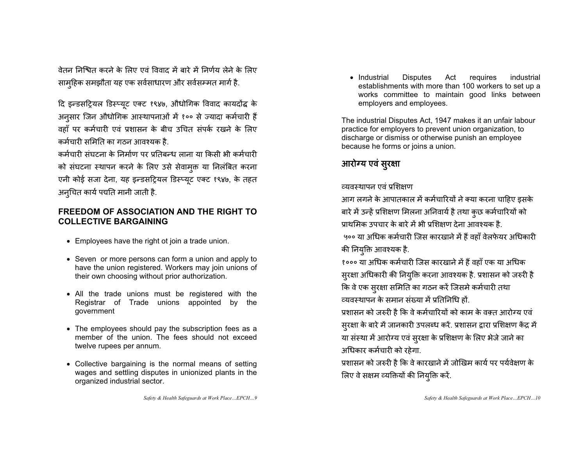वेतन निश्चित करने के लिए एवं विवाद में बारे में निर्णय लेने के लिए साम्हिक समझौता यह एक सर्वसाधारण और सर्वसम्मत मार्ग है.

दि इन्डसट्रियल डिस्प्यूट एक्ट १९४७, औधोगिक विवाद कायदोंद्ध के अनूसार जिन औधोगिक आस्थापनाओं में १०० से ज्यादा कर्मचारी हैं वहाँ पर कर्मचारी एवं प्रशासन के बीच उचित संपर्क रखने के लिए कर्मचारी समिति का गठन आवश्यक है.

कर्मचारी संघटना के निर्माण पर प्रतिबन्ध लाना या किसी भी कर्मचारी को संघटना स्थापन करने के लिए उसे सेवामुक्त या निलंबित करना एनी कोई सजा देना, यह इन्डसट्रियल डिस्प्यूट एक्ट १९४७, के तहत अन्घित कार्य पद्यति मानी जाती है.

#### **FREEDOM OF ASSOCIATION AND THE RIGHT TO COLLECTIVE BARGAINING**

- Employees have the right ot join a trade union.
- Seven or more persons can form a union and apply to have the union registered. Workers may join unions of their own choosing without prior authorization.
- All the trade unions must be registered with the Registrar of Trade unions appointed by the government
- The employees should pay the subscription fees as a member of the union. The fees should not exceed twelve rupees per annum.
- Collective bargaining is the normal means of setting wages and settling disputes in unionized plants in the organized industrial sector.
	- *Safety & Health Safeguards at Work Place…EPCH…9*

• Industrial Disputes Act requires industrial establishments with more than 100 workers to set up a works committee to maintain good links between employers and employees.

The industrial Disputes Act, 1947 makes it an unfair labour practice for employers to prevent union organization, to discharge or dismiss or otherwise punish an employee because he forms or joins a union.

### आरोग्य एवं सुरक्षा

#### व्यवस्थापन एवं प्रशिक्षण

आग लगने के आपातकाल में कर्मचारियों ने क्या करना चाहिए इसके बारे में उन्हें प्रशिक्षण मिलना अनिवार्य है तथा कुछ कर्मचारियों को प्राथमिक उपचार के बारे में भी प्रशिक्षण देना आवश्यक है. ५०० या अधिक कर्मचारी जिस कारखाने में हैं वहाँ वेलफेयर अधिकारी की नियुक्ति आवश्यक है.

१००० या अधिक कर्मचारी जिस कारखाने में हैं वहाँ एक या अधिक सुरक्षा अधिकारी की नियुक्ति करना आवश्यक है. प्रशासन को जरुरी है कि वे एक सुरक्षा समिति का गठन करें जिसमे कर्मचारी तथा व्यवस्थापन के समान संख्या में प्रतिनिधि हों.

प्रशासन को जरुरी है कि वे कर्मचारियों को काम के वक़्त आरोग्य एवं सुरक्षा के बारे में जानकारी उपलब्ध करें. प्रशासन द्वारा प्रशिक्षण केंद्र में या संस्था में आरोग्य एवं सुरक्षा के प्रशिक्षण के लिए भेजे जाने का अधिकार कर्मचारी को रहेगा.

प्रशासन को जरुरी है कि वे कारखाने में जोखिम कार्य पर पर्यवेक्षण के त्रिए वे सक्षम व्यक्तियों की नियुक्ति करें.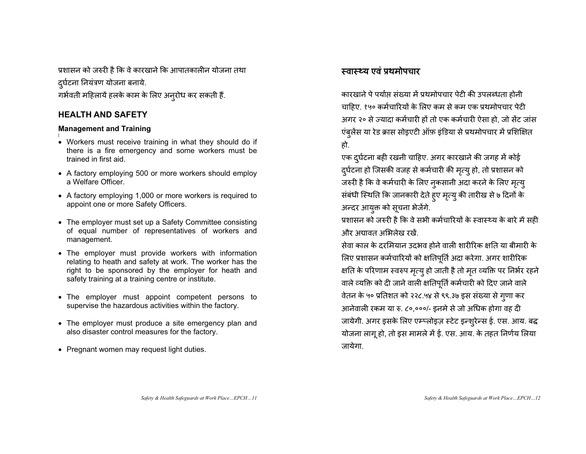प्रशासन को जरुरी है कि वे कारखाने कि आपातकालीन योजना तथा दुर्घटना नियंत्रण योजना बनाये. गर्भवती महिलायें हलके काम के लिए अन्**रोध कर सकती** हैं.

#### **HEALTH AND SAFETY**

#### **Management and Training**

- Workers must receive training in what they should do if there is a fire emergency and some workers must be trained in first aid.
- A factory employing 500 or more workers should employ a Welfare Officer.
- A factory employing 1,000 or more workers is required to appoint one or more Safety Officers.
- The employer must set up a Safety Committee consisting of equal number of representatives of workers and management.
- The employer must provide workers with information relating to heath and safety at work. The worker has the right to be sponsored by the employer for heath and safety training at a training centre or institute.
- The employer must appoint competent persons to supervise the hazardous activities within the factory.
- The employer must produce a site emergency plan and also disaster control measures for the factory.
- Pregnant women may request light duties.

#### स्वास्थ्य एवं प्रथमोपचार

कारखाने पे पर्याप्त संख्या में प्रथमोपचार पेटी की उपलब्धता होनी चाहिए. १५० कर्मचारियों के लिए कम से कम एक प्रथमोपचार पेटी अगर २० से ज्यादा कर्मचारी हों तो एक कर्मचारी ऐसा हो. जो सेंट जांस ए बुलेंस या रेड क्रास सोइएटी ऑफ़ इंडिया से प्रथमोपचार में प्रशिक्षित हो.

एक दुर्घटना बही रखनी चाहिए. अगर कारखाने की जगह में कोई दुर्घटना हो जिसकी वजह से कर्मचारी की मृत्यू हो, तो प्रशासन को जरुरी है कि वे कर्मचारी के लिए नुकसानी अदा करने के लिए मृत्य<u>ु</u> स बंधी स्थिति कि जानकारी देते हुए मृत्यु की तारीख से ७ दिनों के अन्दर आयुक्त को सूचना भेजेंगे.

प्रशासन को जरुरी है कि वे सभी कर्मचारियों के स्वास्थ्य के बारे में सही भौर भद्यावत भभिलेख रखें

सेवा काल के दरमियान उदभव होने वाली शारीरिक क्षति या बीमारी के लिए प्रशासन कर्मचारियों को क्षतिपूर्ति अदा करेगा. अगर शारीरिक क्षति के परिणाम स्वरुप मृत्यु हो जाती है तो मृत व्यक्ति पर निर्भर रहने वाले व्यक्ति को दी जाने वाली क्षतिपूर्ति कर्मचारी को दिए जाने वाले वेतन के ५० प्रतिशत को २२८.५४ से ९९.३७ इस संख्या से गुणा कर आनेवाली रकम या रु. ८०,०००/- इनमे से जो अधिक होगा वह दी जायेगी. अगर इसके लिए एम्प्लोइज़ स्टेट इन्शुरेन्स ई. एस. आय. बद्ध योजना लागू हो, तो इस मामले में ई. एस. आय. के तहत निर्णय लिया जायेगा.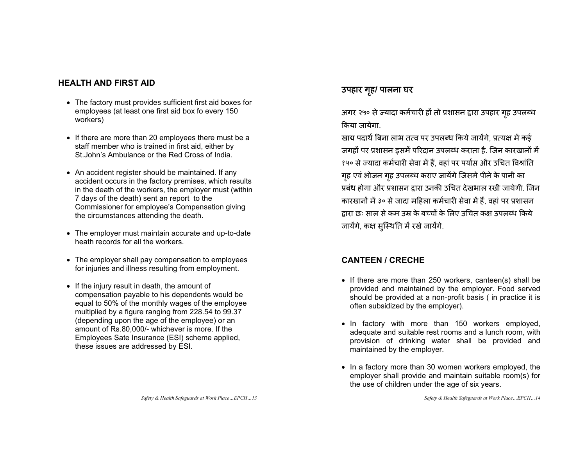#### **HEALTH AND FIRST AID**

- The factory must provides sufficient first aid boxes for employees (at least one first aid box fo every 150 workers)
- If there are more than 20 employees there must be a staff member who is trained in first aid, either by St.John's Ambulance or the Red Cross of India.
- An accident register should be maintained. If any accident occurs in the factory premises, which results in the death of the workers, the employer must (within 7 days of the death) sent an report to the Commissioner for employee's Compensation giving the circumstances attending the death.
- The employer must maintain accurate and up-to-date heath records for all the workers.
- The employer shall pay compensation to employees for injuries and illness resulting from employment.
- If the injury result in death, the amount of compensation payable to his dependents would be equal to 50% of the monthly wages of the employee multiplied by a figure ranging from 228.54 to 99.37 (depending upon the age of the employee) or an amount of Rs.80,000/- whichever is more. If the Employees Sate Insurance (ESI) scheme applied, these issues are addressed by ESI.

#### उपहार गृह/ पालना घर

अगर २५० से ज्यादा कर्मचारी हों तो प्रशासन द्वारा उपहार गृह उपलब्ध किया जायेगा.

खाद्य पदार्थ बिना लाभ तत्व पर उपलब्ध किये जायेंगे. प्रत्यक्ष में कई जगहों पर प्रशासन इसमें परिदान उपलब्ध कराता है. जिन कारखानों में १५० से ज्यादा कर्मचारी सेवा में हैं, वहां पर पर्याप्त और उचित विश्रांति गृह एवं भोजन गृह उपलब्ध कराए जायेंगे जिसमे पीने के पानी का प्रबंध होगा और प्रशासन द्रारा उनकी उचित देखभाल रखी जायेगी. जिन कारख़ानों में ३० से जादा महिला कर्मचारी सेवा में हैं, वहां पर प्रशासन द्रारा छः साल से कम उम्र के बच्चों के लिए उचित कक्ष उपलब्ध किये जायेंगे, कक्ष सुस्थिति में रखे जायेंगे.

#### **CANTEEN / CRECHE**

- If there are more than 250 workers, canteen(s) shall be provided and maintained by the employer. Food served should be provided at a non-profit basis ( in practice it is often subsidized by the employer).
- In factory with more than 150 workers employed, adequate and suitable rest rooms and a lunch room, with provision of drinking water shall be provided and maintained by the employer.
- In a factory more than 30 women workers employed, the employer shall provide and maintain suitable room(s) for the use of children under the age of six years.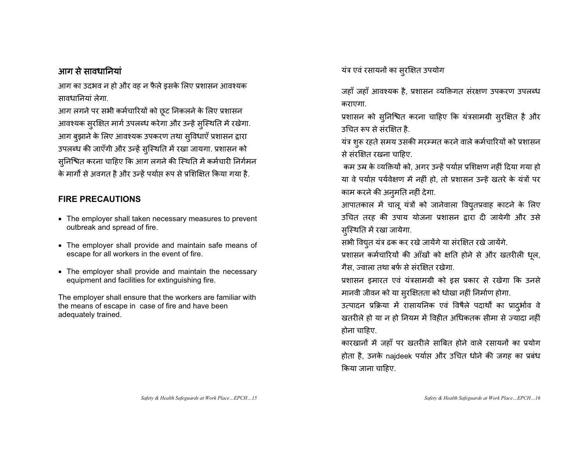#### आग से सावधानियां

आग का उदभव न हो और वह न फैले इसके लिए प्रशासन आवश्यक मावधानियां लेगा

आग लगने पर सभी कर्मचारियों को छूट निकलने के लिए प्रशासन आवश्यक सुरक्षित मार्ग उपलब्ध करेगा और उन्हें सुस्थिति में रखेगा. आग बुझाने के लिए आवश्यक उपकरण तथा सुविधाएँ प्रशासन द्वारा उपलब्ध की जाएँगी और उन्हें सुस्थिति में रखा जायगा. प्रशासन को सुनिश्चित करना चाहिए कि आग लगने की स्थिति में कर्मचारी निर्गमन के मार्गों से अवगत है और उन्हें पर्याप्त रूप से प्रशिक्षित किया गया है.

#### **FIRE PRECAUTIONS**

- The employer shall taken necessary measures to prevent outbreak and spread of fire.
- The employer shall provide and maintain safe means of escape for all workers in the event of fire.
- The employer shall provide and maintain the necessary equipment and facilities for extinguishing fire.

The employer shall ensure that the workers are familiar with the means of escape in case of fire and have been adequately trained.

यंत्र एवं रसायनों का सुरक्षित उपयोग

जहाँ जहाँ आवश्यक है, प्रशासन व्यक्तिगत संरक्षण उपकरण उपलब्ध कराएगा.

प्रशासन को सुनिश्चित करना चाहिए कि यंत्रसामग्री सुरक्षित है और उचित रूप से संरक्षित है.

यंत्र शुरू रहते समय उसकी मरम्मत करने वाले कर्मचारियों को प्रशासन से संरक्षित रखना चाहिए.

कम उम्र के व्यक्तियों को, अगर उन्हें पर्याप्त प्रशिक्षण नहीं दिया गया हो या वे पर्याप्त पर्यवेक्षण में नहीं हो, तो प्रशासन उन्हें खतरे के यंत्रों पर काम करने की अनुमति नहीं देगा.

आपातकाल में चालू यंत्रों को जानेवाला वियुतप्रवाह काटने के लिए उचित तरह की उपाय योजना प्रशासन द्वारा दी जायेगी और उसे सुस्थिति में रखा जायेगा.

सभी वियुत यंत्र ढक कर रखे जायेंगे या संरक्षित रखे जायेंगे.

प्रशासन कर्मचारियों की आँखों को क्षति होने से और खतरीली धूल, गैस, ज्वाला तथा बर्फ से संरक्षित रखेगा.

प्रशासन इमारत एवं यंत्रसामग्री को इस प्रकार से रखेगा कि उनसे मानवी जीवन को या सुरक्षितता को धोखा नहीं निर्माण होगा.

उत्पादन प्रक्रिया में रासायनिक एवं विषैले पदार्थों का प्रादुर्भाव वे खतरीले हो या न हो नियम में विहीत अधिकतक सीमा से ज्यादा नहीं होना चाहिए.

कारखानों में जहाँ पर खतरीले साबित होने वाले रसायनों का प्रयोग होता है, उनके najdeek पर्याप्त और उचित धोने की जगह का प्रबंध किया जाना चाहिए.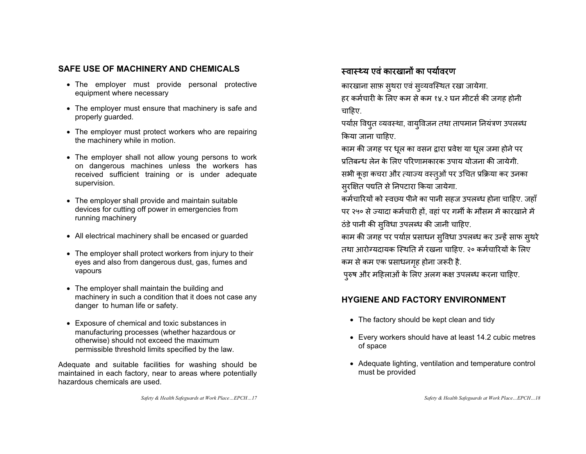#### **SAFE USE OF MACHINERY AND CHEMICALS**

- The employer must provide personal protective equipment where necessary
- The employer must ensure that machinery is safe and properly guarded.
- The employer must protect workers who are repairing the machinery while in motion.
- The employer shall not allow young persons to work on dangerous machines unless the workers has received sufficient training or is under adequate supervision.
- The employer shall provide and maintain suitable devices for cutting off power in emergencies from running machinery
- All electrical machinery shall be encased or guarded
- The employer shall protect workers from injury to their eyes and also from dangerous dust, gas, fumes and vapours
- The employer shall maintain the building and machinery in such a condition that it does not case any danger to human life or safety.
- Exposure of chemical and toxic substances in manufacturing processes (whether hazardous or otherwise) should not exceed the maximum permissible threshold limits specified by the law.

Adequate and suitable facilities for washing should be maintained in each factory, near to areas where potentially hazardous chemicals are used.

*Safety & Health Safeguards at Work Place…EPCH…17* 

#### स्वास्थ्य एवं कारखानों का पर्यावरण

कारखाना साफ़ स्थरा एवं सूव्यवस्थित रखा जायेगा. हर कर्मचारी के लिए कम से कम १४.२ घन मीटर्स की जगह होनी चाहिए.

पर्याप्त विद्युत व्यवस्था, वायुविजन तथा तापमान नियंत्रण उपलब्ध किया जाना चाहिए.

काम की जगह पर धूल का वसन द्वारा प्रवेश या धूल जमा होने पर प्रतिबन्ध लेन के लिए परिणामकारक उपाय योजना की जायेगी

सभी कूड़ा कचरा और त्याज्य वस्तुओं पर उचित प्रक्रिया कर उनका सुरक्षित पद्यति से निपटारा किया जायेगा.

कर्मचारियों को स्वछ्य पीने का पानी सहज उपलब्ध होना चाहिए. जहाँ पर २५० से ज्यादा कर्मचारी हों, वहां पर गर्मी के मौसम में कारखाने में ठंडे पानी की सुविधा उपलब्ध की जानी चाहिए.

काम की जगह पर पर्याप्त प्रसाधन सुविधा उपलब्ध कर उन्हें साफ सुथरे तथा आरोग्यदायक स्थिति में रखना चाहिए. २० कर्मचारियों के लिए कम से कम एक प्रसाधनगृह होना जरूरी है.

पुरुष और महिलाओं के लिए अलग कक्ष उपलब्ध करना चाहिए.

#### **HYGIENE AND FACTORY ENVIRONMENT**

- The factory should be kept clean and tidy
- Every workers should have at least 14.2 cubic metres of space
- Adequate lighting, ventilation and temperature control must be provided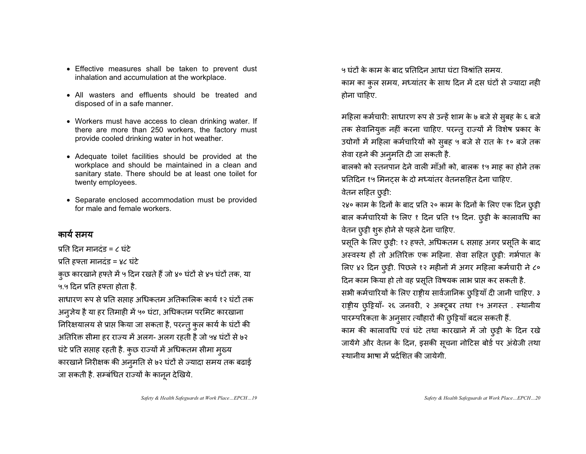- Effective measures shall be taken to prevent dust inhalation and accumulation at the workplace.
- All wasters and effluents should be treated and disposed of in a safe manner.
- Workers must have access to clean drinking water. If there are more than 250 workers, the factory must provide cooled drinking water in hot weather.
- Adequate toilet facilities should be provided at the workplace and should be maintained in a clean and sanitary state. There should be at least one toilet for twenty employees.
- Separate enclosed accommodation must be provided for male and female workers.

#### कार्य समय

प्रति दिन मानदंड = ८ घंटे

प्रति हफ्ता मानदंड = ४८ घंटे

कुछ कारखाने हफ्ते में ५ दिन रखते हैं जो ४० घंटों से ४५ घंटों तक, या ५.५ दिन प्रति हफ्ता होता है.

साधारण रूप से प्रति सप्ताह अधिकतम अतिकालिक कार्य १२ घंटों तक अनुजेय है या हर तिमाही में ५० घंटा, अधिकतम परमिट कारखाना निरिक्षयालय से प्राप्त किया जा सकता है, परन्तु कुल कार्य के घंटों की अतिरिक्त सीमा हर राज्य में अलग- अलग रहती है जो ५४ घंटों से ७२ घंटे प्रति सप्ताह रहती है. कुछ राज्यों में अधिकतम सीमा मुख्य कारखाने निरीक्षक की अनुमति से ७२ घंटों से ज्यादा समय तक बढाई जा सकती है. सम्बंधित राज्यों के कानून देखिये.

५ घंटों के काम के बाद प्रतिदिन आधा घंटा विश्रांति समय काम का कुल समय, मध्यांतर के साथ दिन में दस घंटों से ज्यादा नही होना चाहिए.

महिला कर्मचारी: साधारण रूप से उन्हें शाम के ७ बजे से सुबह के ६ बजे तक सेवानियुक्त नहीं करना चाहिए. परन्तु राज्यों में विशेष प्रकार के उद्योगों में महिला कर्मचारियों को सुबह ५ बजे से रात के १० बजे तक सेवा रहने की अनुमति दी जा सकती है.

बालको को स्तनपान देने वाली माँओं को, बालक १५ माह का होने तक प्रतिदिन १५ मिनटस के दो मध्यांतर वेतनसहित देना चाहिए.

#### वेतन सहित छुट्टी:

२४० काम के दिनों के बाद प्रति २० काम के दिनों के लिए एक दिन छुट्टी बाल कर्मचारियों के लिए १ दिन प्रति १५ दिन. छूट्टी के कालावधि का वेतन छुट्टी शुरू होने से पहले देना चाहिए.

प्रसूति के लिए छुट्टी: १२ हफ्ते, अधिकतम ६ सप्ताह अगर प्रसूति के बाद अस्वस्थ हों तो अतिरिक्त एक महिना. सेवा सहित छुट्टी: गर्भपात के लिए ४२ दिन छुट्टी. पिछले १२ महीनों में अगर महिला कर्मचारी ने ८० दिन काम किया हो तो वह प्रसूति विषयक लाभ प्राप्त कर सकती है. सभी कर्मचारियों के लिए राष्ट्रीय सार्वजानिक छुट्टियाँ दी जानी चाहिए. ३ राष्ट्रीय छुट्टियाँ- २६ जनवरी, २ अक्टूबर तथा १५ अगस्त . स्थानीय पारम्परिकता के अनुसार त्यौहारों की छुट्टियाँ बदल सकती हैं. काम की कालावधि एवं घंटे तथा कारखाने में जो छुट्टी के दिन रखे जायेंगे और वेतन के दिन, इसकी सूचना नोटिस बोर्ड पर अंग्रेजी तथा स्थानीय भाषा में प्रर्दशित की जायेगी.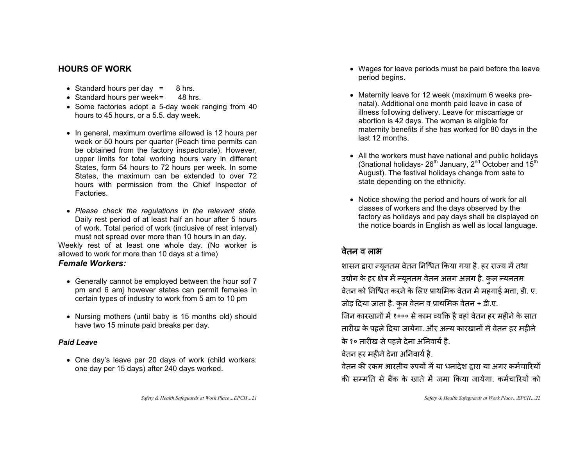#### **HOURS OF WORK**

- Standard hours per day  $=$  8 hrs.
- Standard hours per week =  $48$  hrs.
- Some factories adopt a 5-day week ranging from 40 hours to 45 hours, or a 5.5. day week.
- In general, maximum overtime allowed is 12 hours per week or 50 hours per quarter (Peach time permits can be obtained from the factory inspectorate). However, upper limits for total working hours vary in different States, form 54 hours to 72 hours per week. In some States, the maximum can be extended to over 72 hours with permission from the Chief Inspector of **Factories**
- x *Please check the regulations in the relevant state*. Daily rest period of at least half an hour after 5 hours of work. Total period of work (inclusive of rest interval) must not spread over more than 10 hours in an day. Weekly rest of at least one whole day. (No worker is

allowed to work for more than 10 days at a time) *Female Workers:* 

- Generally cannot be employed between the hour sof 7 pm and 6 amj however states can permit females in certain types of industry to work from 5 am to 10 pm
- Nursing mothers (until baby is 15 months old) should have two 15 minute paid breaks per day.

#### *Paid Leave*

- One day's leave per 20 days of work (child workers: one day per 15 days) after 240 days worked.
	- *Safety & Health Safeguards at Work Place…EPCH…21*
- Wages for leave periods must be paid before the leave period begins.
- Maternity leave for 12 week (maximum 6 weeks prenatal). Additional one month paid leave in case of illness following delivery. Leave for miscarriage or abortion is 42 days. The woman is eligible for maternity benefits if she has worked for 80 days in the last 12 months.
- All the workers must have national and public holidays (3national holidays-  $26^{th}$  January,  $2^{nd}$  October and  $15^{th}$ August). The festival holidays change from sate to state depending on the ethnicity.
- Notice showing the period and hours of work for all classes of workers and the days observed by the factory as holidays and pay days shall be displayed on the notice boards in English as well as local language.

#### वेतन व लाभ

शासन द्वारा न्युनतम वेतन निश्चित किया गया है. हर राज्य में तथा उद्योग के हर क्षेत्र में न्यूनतम वेतन अलग अलग है. कुल न्यनतम वेतन को निश्चित करने के लिए प्राथमिक वेतन में महगाई भत्ता, डी. ए. जोड़ दिया जाता है. कुल वेतन व प्राथमिक वेतन + डी.ए.

जिन कारखानों में १००० से काम व्यक्ति है वहां वेतन हर महीने के सात तारीख के पहले दिया जायेगा. और अन्य कारखानों में वेतन हर महीने के १० तारीख से पहले देना अनिवार्य है.

वेतन हर महीने देना अनिवार्य है.

वेतन की रकम भारतीय रुपयों में या धनादेश द्रारा या अगर कर्मचारियों की सम्मति से बैंक के खाते में जमा किया जायेगा. कर्मचारियों को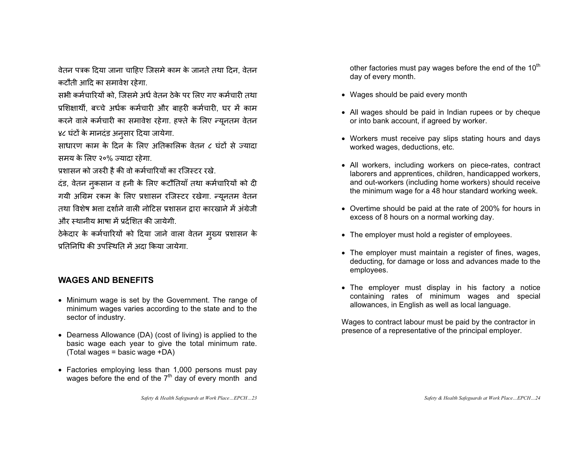वेतन पत्रक दिया जाना चाहिए जिसमे काम के जानते तथा दिन, वेतन कटौती आदि का समावेश रहेगा.

सभी कर्मचारियों को. जिसमे अर्ध वेतन ठेके पर लिए गए कर्मचारी तथा प्रशिक्षार्थी, बच्चे अर्धक कर्मचारी और बाहरी कर्मचारी, घर में काम करने वाले कर्मचारी का समावेश रहेगा. हफ्ते के लिए न्यूनतम वेतन ४८ घंटों के मानदंड अनुसार दिया जायेगा.

साधारण काम के दिन के लिए अतिकालिक वेतन ८ घंटों से ज्यादा समय के लिए २०% ज्यादा रहेगा.

प्रशासन को जरुरी है की वो कर्मचारियों का रजिस्टर रखे.

दंड, वेतन नकसान व हनी के लिए कटौतियाँ तथा कर्मचारियों को दी गयी अग्रिम रकम के लिए प्रशासन रजिस्टर रखेगा. न्यूनतम वेतन तथा विशेष भत्ता दर्शाने वाली नोटिस प्रशासन दारा कारखाने में अंग्रेजी और स्थानीय भाषा में प्रर्दशित की जायेगी.

ठेकेदार के कर्मचारियों को दिया जाने वाला वेतन मुख्य प्रशासन के प्रतिनिधि की उपस्थिति में अटा किया जायेगा

#### **WAGES AND BENEFITS**

- Minimum wage is set by the Government. The range of minimum wages varies according to the state and to the sector of industry.
- Dearness Allowance (DA) (cost of living) is applied to the basic wage each year to give the total minimum rate. (Total wages = basic wage +DA)
- Factories employing less than 1,000 persons must pay wages before the end of the  $7<sup>th</sup>$  day of every month and

other factories must pay wages before the end of the  $10<sup>th</sup>$ day of every month.

- Wages should be paid every month
- All wages should be paid in Indian rupees or by cheque or into bank account, if agreed by worker.
- Workers must receive pay slips stating hours and days worked wages, deductions, etc.
- All workers, including workers on piece-rates, contract laborers and apprentices, children, handicapped workers, and out-workers (including home workers) should receive the minimum wage for a 48 hour standard working week.
- Overtime should be paid at the rate of 200% for hours in excess of 8 hours on a normal working day.
- The employer must hold a register of employees.
- The employer must maintain a register of fines, wages, deducting, for damage or loss and advances made to the employees.
- The employer must display in his factory a notice containing rates of minimum wages and special allowances, in English as well as local language.

Wages to contract labour must be paid by the contractor in presence of a representative of the principal employer.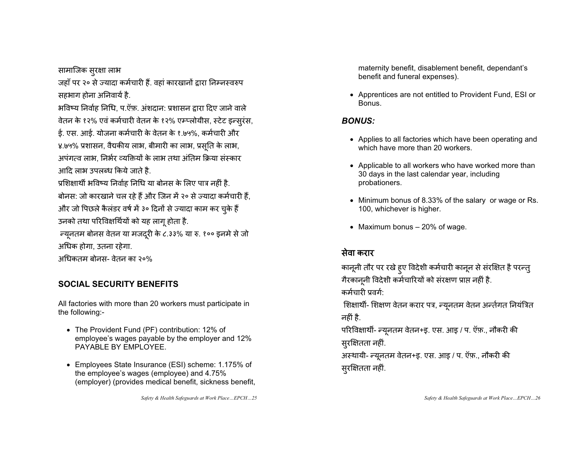सामाजिक सुरक्षा लाभ

जहाँ पर २० से ज्यादा कर्मचारी हैं. वहां कारखानों द्वारा निम्नस्वरुप सहभाग होना अनिवार्य है.

भविष्य निर्वाह निधि, प.ऍफ़. अंशदान: प्रशासन द्वारा दिए जाने वाले वेतन के १२% एवं कर्मचारी वेतन के १२% एम्प्लोयीस, स्टेट इन्सुरंस, ई. एस. आई. योजना कर्मचारी के वेतन के १.७५%, कर्मचारी और ४.७५% प्रशासन, वैद्यकीय लाभ, बीमारी का लाभ, प्रसूति के लाभ, अपंगत्व लाभ, निर्भर व्यक्तियों के लाभ तथा अंतिम क्रिया संस्कार आदि लाभ उपलब्ध किये जाते है.

प्रशिक्षार्थी भविष्य निर्वाह निधि या बोनस के लिए पात्र नहीं है. बोनस: जो कारखाने चल रहे हैं और जिन में २० से ज्यादा कर्मचारी हैं, और जो पिछले कैलंडर वर्ष में ३० दिनों से ज्यादा काम कर चुके हैं उनको तथा परिविक्षर्थियों को यह लागू होता है.

न्यूनतम बोनस वेतन या मजदूरी के ८.३३% या रु. १०० इनमे से जो अधिक होगा. उतना रहेगा.

अधिकतम बोनस- वेतन का २०%

#### **SOCIAL SECURITY BENEFITS**

All factories with more than 20 workers must participate in the following:-

- The Provident Fund (PF) contribution: 12% of employee's wages payable by the employer and 12% PAYABLE BY EMPLOYEE.
- Employees State Insurance (ESI) scheme: 1.175% of the employee's wages (employee) and 4.75% (employer) (provides medical benefit, sickness benefit,

*Safety & Health Safeguards at Work Place…EPCH…25* 

maternity benefit, disablement benefit, dependant's benefit and funeral expenses).

• Apprentices are not entitled to Provident Fund, ESI or Bonus.

#### *BONUS:*

- Applies to all factories which have been operating and which have more than 20 workers.
- Applicable to all workers who have worked more than 30 days in the last calendar year, including probationers.
- Minimum bonus of 8.33% of the salary or wage or Rs. 100, whichever is higher.
- Maximum bonus  $-20\%$  of wage.

### सेवा करार

कानूनी तौर पर रखे हुए विदेशी कर्मचारी कानून से संरक्षित है परन्तु गैरकानूनी विदेशी कर्मचारियों को संरक्षण प्राप्त नहीं है. कर्मचारी प्रवर्ग:

शिक्षार्थी- शिक्षण वेतन करार पत्र, न्यूनतम वेतन अर्न्तगत नियंत्रित नहीं है.

परिविक्षार्थी- न्यूनतम वेतन+इ. एस. आइ / प. ऍफ़., नौकरी की स्**रक्षितता** नहीं.

अस्थायी- न्यूनतम वेतन+इ. एस. आइ / प. ऍफ़., नौकरी की सुरक्षितता नहीं.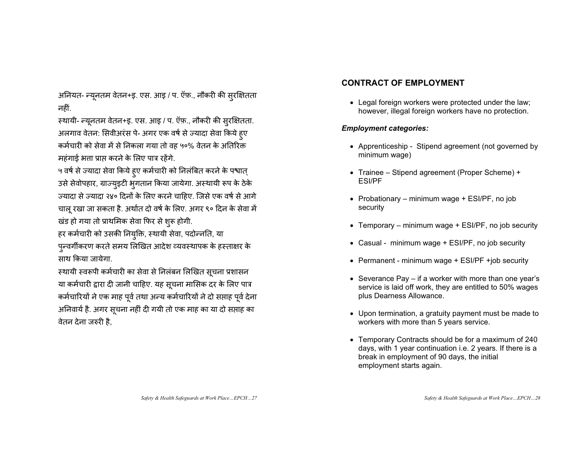अनियत- न्यूनतम वेतन+इ. एस. आइ / प. ऍफ़., नौकरी की सुरक्षितता नहीं.

स्थायी- न्यूनतम वेतन+इ. एस. आइ / प. ऍफ़., नौकरी की सुरक्षितता. अलगाव वेतन: सिवीअरंस पे- अगर एक वर्ष से ज्यादा सेवा किये हुए क़र्मचारी को सेवा में से निकला गया तो वह ५०% वेतन के अतिरिक्त महंगाई भत्ता प्राप्त करने के लिए पात्र रहेंगे.

५ वर्ष से ज्यादा सेवा किये हुए कर्मचारी को निलंबित करने के पश्वात् उसे सेवोपहार, ग्राज्युइटी भुगतान किया जायेगा. अस्थायी रूप के ठेके उ़यादा से ज्यादा २४० दिनों के लिए करने चाहिए. जिसे एक वर्ष से आगे चालू रखा जा सकता है. अर्थात दो वर्ष के लिए. अगर ९० दिन के सेवा में खंड हो गया तो प्राथमिक सेवा फिर से शुरू होगी.

हर कर्मचारी को उसकी नियुक्ति, स्थायी सेवा, पदोन्नति, या पुन्वर्गीकरण करते समय लिखित आदेश व्यवस्थापक के हस्ताक्षर के साथ किया जायेगा.

स्थायी स्वरूपी कर्मचारी का सेवा से निलंबन लिखित सूचना प्रशासन या कर्मचारी द्वारा दी जानी चाहिए. यह सूचना मासिक दर के लिए पात्र कर्मचारियों ने एक माह पूर्व तथा अन्य कर्मचारियों ने दो सप्ताह पूर्व देना अनिवार्य है. अगर सूचना नहीं दी गयी तो एक माह का या दो सप्ताह का वेतन देना जरुरी है.

#### **CONTRACT OF EMPLOYMENT**

• Legal foreign workers were protected under the law; however, illegal foreign workers have no protection.

#### *Employment categories:*

- Apprenticeship Stipend agreement (not governed by minimum wage)
- Trainee Stipend agreement (Proper Scheme) + ESI/PF
- Probationary minimum wage  $+$  ESI/PF, no job security
- Temporary minimum wage  $+$  ESI/PF, no job security
- Casual minimum wage + ESI/PF, no job security
- Permanent minimum wage + ESI/PF +job security
- Severance Pay if a worker with more than one year's service is laid off work, they are entitled to 50% wages plus Dearness Allowance.
- Upon termination, a gratuity payment must be made to workers with more than 5 years service.
- Temporary Contracts should be for a maximum of 240 days, with 1 year continuation i.e. 2 years. If there is a break in employment of 90 days, the initial employment starts again.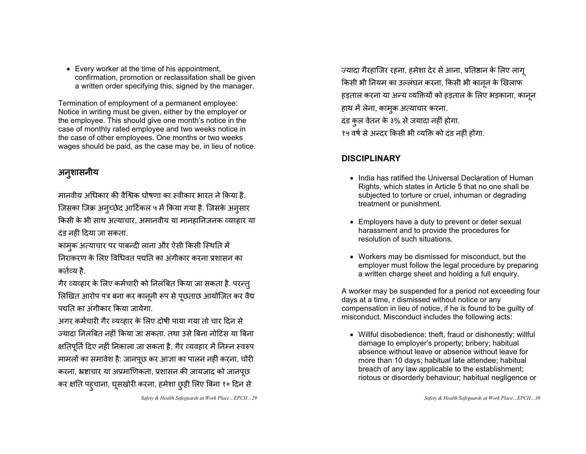• Every worker at the time of his appointment, confirmation, promotion or reclassifation shall be given a written order specifying this, signed by the manager.

Termination of employment of a permanent employee: Notice in writing must be given, either by the employer or the employee. This should give one month's notice in the case of monthly rated employee and two weeks notice in the case of other employees. One months or two weeks wages should be paid, as the case may be, in lieu of notice.

### अनुशासनीय

मानवीय अधिकार की वैश्विक घोषणा का स्वीकार भारत ने किया है जिसका जिक्र अनुच्छेद आर्टिकल ५ में किया गया है. जिसके अनुसार किसी के भी साथ अत्याचार, अमानवीय या मानहानिजनक व्यव्हार या दंड नहीं दिया जा सकता.

कामुक अत्याचार पर पाबन्दी लाना और ऐसी किसी स्थिति में लिराकरण के लिए विधिवत पद्यति का अंगीकार करना प्रशासन का कर्तव्य है.

गैर व्यव्हार के लिए कर्मचारी को निलंबित किया जा सकता है. परन्त् लिखित आरोप पत्र बना कर कानूनी रूप से पूछताछ आयोजित कर वैद्य पद्यति का अंगीकार किया जायेगा.

अगर कर्मचारी गैर व्यव्हार के लिए दोषी पाया गया तो चार दिन से ज्यादा निलंबित नहीं किया जा सकता. तथा उसे बिना नोटिस या बिना क्षतिपूर्ति दिए नहीं निकाला जा सकता है. गैर व्यवहार में निम्न स्वरुप मामलों का समावेश है: जानपूछ कर आज्ञा का पालन नहीं करना, चोरी करना, भ्रष्टाचार या अप्रमाणिकता, प्रशासन की जायजाद को जानपूछ कर क्षति पहुचाना, घूसखोरी करना, हमेशा छुट्टी लिए बिना १० दिन से

*Safety & Health Safeguards at Work Place…EPCH…29* 

ज्यादा गैरहाजिर रहना, हमेशा देर से आना, प्रतिष्ठान के लिए लाग् किसी भी नियम का उल्लंघन करना, किसी भी कानून के खिलाफ हड़ताल करना या अन्य व्यक्तियों को हड़ताल के लिए भड़काना, कानून हाथ में लेना, कामुक अत्याचार करना.

दंड कुल वेतन के ३% से जयादा नहीं होगा. १५ वर्ष से अन्दर किसी भी व्यक्ति को दंड नहीं होगा.

#### **DISCIPLINARY**

- India has ratified the Universal Declaration of Human Rights, which states in Article 5 that no one shall be subjected to torture or cruel, inhuman or degrading treatment or punishment.
- Employers have a duty to prevent or deter sexual harassment and to provide the procedures for resolution of such situations.
- Workers may be dismissed for misconduct, but the employer must follow the legal procedure by preparing a written charge sheet and holding a full enquiry.

A worker may be suspended for a period not exceeding four days at a time, r dismissed without notice or any compensation in lieu of notice, if he is found to be guilty of misconduct. Misconduct includes the following acts:

• Willful disobedience; theft, fraud or dishonestly; willful damage to employer's property; bribery; habitual absence without leave or absence without leave for more than 10 days; habitual late attendee; habitual breach of any law applicable to the establishment; riotous or disorderly behaviour; habitual negligence or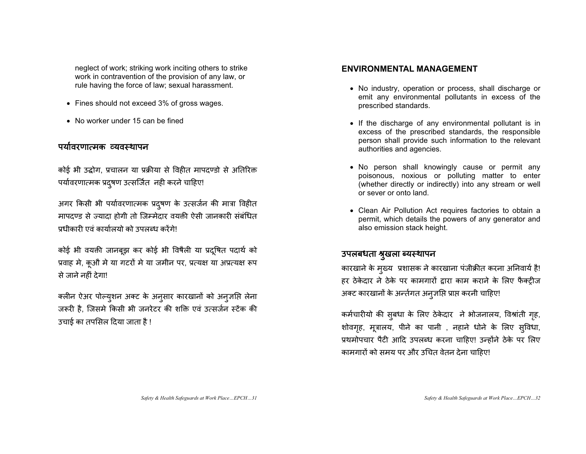neglect of work; striking work inciting others to strike work in contravention of the provision of any law, or rule having the force of law; sexual harassment.

- Fines should not exceed 3% of gross wages.
- $\bullet$  No worker under 15 can be fined

#### पर्यावरणात्मक व्यवस्थापन

कोई भी उद्धोग, प्रचालन या प्रक्रीया से विहीत मापदण्डो से अतिरिक्त पर्यावरणात्मक प्रदुषण उत्सर्जित नही करने चाहिए!

अगर किसी भी पर्यावरणात्मक प्रदुषण के उत्सर्जन की मात्रा विहीत मापदण्ड से ज्यादा होगी तो जिम्मेदार वयकी ऐसी जानकारी संबंधित प्रधीकारी एवं कार्यालयो को उपलब्ध करेंगे!

कोई भी वयक्ती जानबूझ कर कोई भी विषैली या प्रदूषित पदार्थ को प्रवाह मे, कूऔ मे या गटरों मे या जमीन पर, प्रत्यक्ष या अप्रत्यक्ष रूप से जाने नहीं देगा!

क्लीन ऐअर पोल्युशन अक्ट के के अनुसार कारखानों को अनुज़सि लेना जरूरी है. जिसमे किसी भी जनरेटर की शक्ति एवं उत्सर्जन स्टेंक की उचाई का तपसिल दिया जाता है !

#### **ENVIRONMENTAL MANAGEMENT**

- No industry, operation or process, shall discharge or emit any environmental pollutants in excess of the prescribed standards.
- If the discharge of any environmental pollutant is in excess of the prescribed standards, the responsible person shall provide such information to the relevant authorities and agencies.
- No person shall knowingly cause or permit any poisonous, noxious or polluting matter to enter (whether directly or indirectly) into any stream or well or sever or onto land.
- Clean Air Pollution Act requires factories to obtain a permit, which details the powers of any generator and also emission stack height.

#### उपलबधता श्रूखला ब्यस्थापन

कारखाने के मुख्य प्रशासक ने कारखाना पंजीक्रीत करना अनिवार्य है! हर ठेकेदार ने ठेके पर कामगारों द्वारा काम कराने के लिए फैक्ट्रीज अक्ट कारखानों के अन्तेगत अनुज्ञप्ति प्राप्त करनी चाहिए!

कर्मचारीयो की सुबधा के के लिए ठेकेदार ने भोजनालय, विश्रांती गृह, शोवगृह, मूत्रालय, पीने का पानी , नहाने धोने के लिए सुविधा, प्रथमोपचार पैटी आदि उपलब्ध करना चाहिए! उन्होंने ठेके पर लिए कामगारों को समय पर और उचित वेतन देना चाहिए!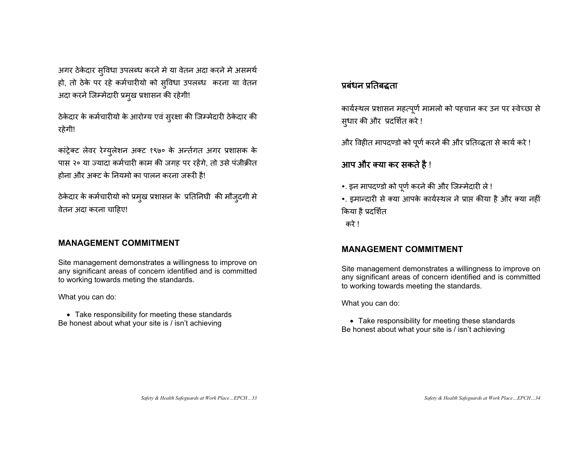अगर ठेकेदार सुविधा उपलब्ध करने मे या वेतन अदा करने मे असमर्थ हो, तो ठेके पर रहे कर्मचारीयो को स्विधा उपलब्ध करना या वेतन अदा करने जिम्मेदारी प्रमुख प्रशासन की रहेगी!

òकेदार के कर्मचारीयो के आरोग्य एवं सुरक्षा की जिम्मेदारी ठेकेदार की रहेगी!

का ट्रेक्ट लेवर रेग्युलेशन अक्ट १९७० के अर्न्तगत अगर प्रशासक के पास २० या ज्यादा कर्मचारी काम की जगह पर रहेंगे, तो उसे पंजीक्रीत होना और अक्ट के नियमो का पालन करना जरूरी है!

ठेकेदार के कर्मचारीयो को प्रमुख प्रशासन के प्रतिनिघी की मौजुदगी मे वेतन अदा करना चाहिए!

#### **MANAGEMENT COMMITMENT**

Site management demonstrates a willingness to improve on any significant areas of concern identified and is committed to working towards meting the standards.

What you can do:

• Take responsibility for meeting these standards Be honest about what your site is / isn't achieving

#### प्रबंधन प्रतिबद्धता

कार्यस्थल प्रशासन महत्पूर्ण मामलो को पहचान कर उन पर स्वेच्छा से सुधार की और प्रदर्शित करे !

और विहीत मापदण्डो को पूर्ण करने की और प्रतिव्द्वता से कार्य करे !

#### आप और क्या कर सकते है !

- •. इन मापदण्डो को पूर्ण करने की और जिम्मेदारी ले !
- •. इमान्दारी से क्या आपके कार्यस्थल ने प्राप्त कीया है और क्या नहीं किया है प्रदर्शित
- करे !

#### **MANAGEMENT COMMITMENT**

Site management demonstrates a willingness to improve on any significant areas of concern identified and is committed to working towards meeting the standards.

What you can do:

• Take responsibility for meeting these standards Be honest about what your site is / isn't achieving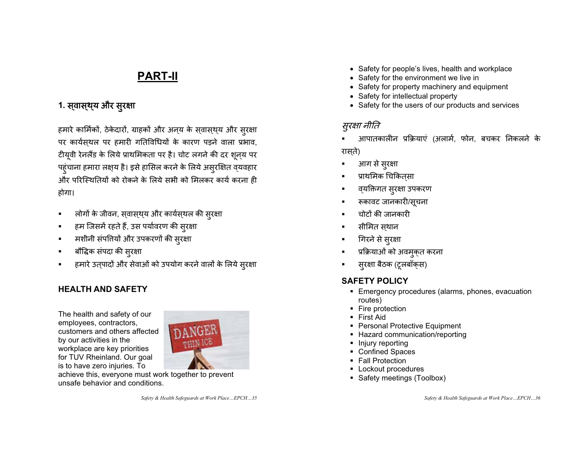### **PART-II**

### 1. स्**वास्**थ्**य और सुरक्षा**

हमारे कार्मिकों, ठेकेदारों, ग्राहकों और अनय के सवासथय और सुरक्षा पर कार्यसथल पर हमारी गतिविधियों के कारण पड़ने वाला प्रभाव, टीयूवी रेनलैंड के लिये प्राथमिकता पर है। चोट लगने की दर शून्य पर पहुंचाना हमारा लक्ष्य है। इसे हासिल करने के लिये असुरक्षित व्यवहार और परिस्थितियों को रोकने के लिये सभी को मिलकर कार्य करना ही होगा।

- $\blacksquare$ लोगों के जीवन, स्वास्थ्य और कार्यस्थल की स्रक्षा
- $\blacksquare$ हम जिसमें रहते हैं, उस पर्यावरण की सुरक्षा
- $\blacksquare$ ■ मशीनी संपत्तियों और उपकरणों की सुरक्षा
- $\blacksquare$ ■ │ बौद्धिक संपदा की सुरक्षा
- $\blacksquare$ हमारे उतपादों और सेवाओं को उपयोग करने वालों के लिये सुरक्षा

#### **HEALTH AND SAFETY**

The health and safety of our employees, contractors, customers and others affected by our activities in the workplace are key priorities for TUV Rheinland. Our goal is to have zero injuries. To



achieve this, everyone must work together to prevent unsafe behavior and conditions.

*Safety & Health Safeguards at Work Place…EPCH…35* 

- Safety for people's lives, health and workplace
- Safety for the environment we live in
- Safety for property machinery and equipment
- Safety for intellectual property
- Safety for the users of our products and services

#### सुरक्षा नीति

- आपातकालीन प्रक्रियाएं (अलार्म, फोन, बचकर निकलने के रासते)
- П • आग से सुरक्षा
- प्राथमिक चिकितसा
- व्**यक्तिगत सूरक्षा उपकर**ण
- रूकावट जानकारी/सूचना
- П चोटों की जानकारी
- सीमित सथान

П

- П गिरने से सुरक्षा
- П • प्रक्रियाओं को अवमुक्त करना
- П ■ सुरक्षा बैठक (टूलबॉक्स)

#### **SAFETY POLICY**

- Emergency procedures (alarms, phones, evacuation routes)
- **Fire protection**
- First Aid
- **Personal Protective Equipment**
- **-** Hazard communication/reporting
- Injury reporting
- Confined Spaces
- **Fall Protection**
- **Lockout procedures**
- Safety meetings (Toolbox)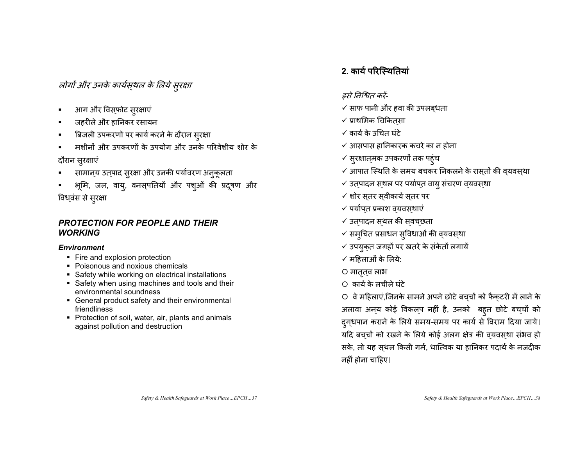लोगों और उनके कार्यस्थल के

• आग और विस्फोट सुरक्षाएं

जहरीले और हानिकर रसायन

 $\blacksquare$ 

 $\blacksquare$ 

 $\blacksquare$ 

 $\blacksquare$ 

г

г

विध्वं

दौरान सुरक्षाएं

*WORKING*

*Environment*

friendliness

स से सुरक्षा

### के लिये सुरक्षा

बिजली उपकरणों पर कार्य करने के दौरान स्रक्षा

■ सामान्*य उत्*पाद सुरक्षा और उनकी पर्यावरण अनुकूलता

*PROTECTION FOR PEOPLE AND THEIR* 

**Safety while working on electrical installations** Safety when using machines and tools and their

General product safety and their environmental

• Protection of soil, water, air, plants and animals

• Fire and explosion protection Poisonous and noxious chemicals

environmental soundness

against pollution and destruction

■ भूमि, जल, वायु, वनस्पतियों और पशुओं की प्रदूषण और

मशीनों और उपकरणों के उपयोग और उनके परिवेशीय शोर के

#### 2. कार्य परिस्थितियां

 $\overline{\phantom{a}}$ ✓ कार्य के उचित घंटे

 $\checkmark$  आसपास हानिकारक कचरे का न होना

 $\checkmark$  समुचित प्रसाधन सुविधाओं की व्यवस्था  $\checkmark$  उपयुक्त जगहों पर खतरे के संकेतों लगायें

 $\checkmark$  आपात स्थिति के समय बचकर निकलने के रास्तों की व्यवस्था

○ वे महिलाएं,जिनके सामने अपने छोटे बच्चों को फैक्टरी में लाने के अलावा अन्य कोई विकल्प नहीं है, उनको बह्त छोटे बच्चों को दुगधपान कराने के लिये समय-समय पर कार्य से विराम दिया जाये। यदि बचचों को रखने के लिये कोई अलग क्षेत्र की वयवसथा संभव हो सके, तो यह सथल किसी गर्म, धात्विक या हानिकर पदार्थ के नजदीक

 $\checkmark$  उत्पादन स्थल पर पर्यापत वायु संचरण व्यवस्था

- $\checkmark$  प्राथमिक चिकितसा
- 

 $\checkmark$  सुरक्षात्मक उपकरणों तक पहुंच

 $\checkmark$  शोर स्तर स्वीकार्य स्तर पर  $\checkmark$  पर्याप्त प्रकाश व्यवस्थाएं ✔ उत्पादन स्थल की स्वच्छता

✔ महिलाओं के लिये:

O मातृत्**व** लाभ  $\circ$  कार्य के लचीले घंटे

नहीं होना चाहिए।

- $\checkmark$  साफ पानी और हवा की उपलब्धता
- इसे निश्चित करें-
-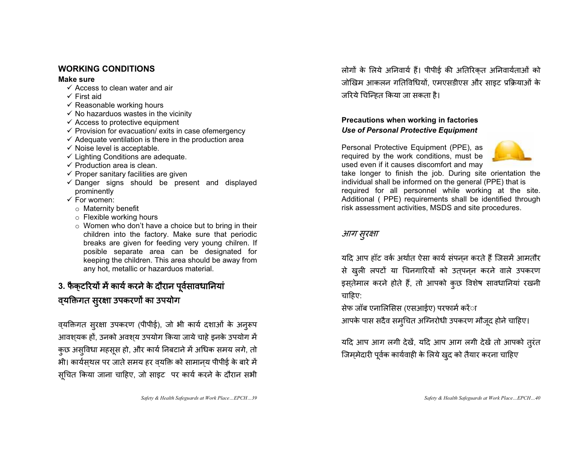#### **WORKING CONDITIONS**

#### **Make sure**

- $\checkmark$  Access to clean water and air
- $\checkmark$  First aid
- $\checkmark$  Reasonable working hours
- $\checkmark$  No hazarduos wastes in the vicinity
- $\checkmark$  Access to protective equipment
- $\checkmark$  Provision for evacuation/ exits in case ofemergency
- $\checkmark$  Adequate ventilation is there in the production area
- $\checkmark$  Noise level is acceptable.
- $\checkmark$  Lighting Conditions are adequate.
- $\checkmark$  Production area is clean.
- $\checkmark$  Proper sanitary facilities are given
- $\checkmark$  Danger signs should be present and displayed prominently
- $\checkmark$  For women:
	- <sup>o</sup> Maternity benefit
	- <sup>o</sup> Flexible working hours
	- <sup>o</sup> Women who don't have a choice but to bring in their children into the factory. Make sure that periodic breaks are given for feeding very young chilren. If posible separate area can be designated for keeping the children. This area should be away from any hot, metallic or hazarduos material.

### 3. फैक्**टरियों में कार्य करने के दौरान पूर्वसावधा**नियां व्**यक्तिगत सुरक्षा उपकरणों का उपयोग**

व्यक्तिगत सुरक्षा उपकरण (पीपीई), जो भी कार्य दशाओं के अनूरूप आवशयक हों, उनको अवशय उपयोग किया जाये चाहे इनके उपयोग में कुछ असुविधा महसूस हो, और कार्य निबटाने में अधिक समय लगे, तो भी। कार्यसथल पर जाते समय हर वयक्ति को सामानय पीपीई के बारे में सचित किया जाना चाहिए, जो साइट) पर कार्य करने के दौरान सभी

लोगों के लिये अनिवार्य हैं। पीपीई की अतिरिकत अनिवार्यताओं को जोखिम आकलन गतिविधियों, एमएसडीएस और साइट प्रक्रियाओं के जरिये चिन्हित किया जा सकता है।

#### **Precautions when working in factories**  *Use of Personal Protective Equipment*

Personal Protective Equipment (PPE), as required by the work conditions, must be used even if it causes discomfort and may



take longer to finish the job. During site orientation the individual shall be informed on the general (PPE) that is required for all personnel while working at the site. Additional ( PPE) requirements shall be identified through risk assessment activities, MSDS and site procedures.

#### आग सुरक्षा

यदि आप हॉट वर्क अर्थात ऐसा कार्य संपनन करते हैं जिसमें आमतौर से ख़ुली लपटों या चिनगारियों को उत्पन्न करने वाले उपकरण इस्तेमाल करने होते हैं, तो आपको कुछ विशेष सावधानियां रखनी चाहिए:

सेफ जॉब एनालिसिस (एसआईए) परफार्म करेंा

आपके पास सदैव समुचित अग्निरोधी उपकरण मौजूद होने चाहिए।

यदि आप आग लगी देखें, यदि आप आग लगी देखें तो आपको तुरंत जिम्मेदारी पूर्वक कार्यवाही के लिये खुद को तैयार करना चाहिए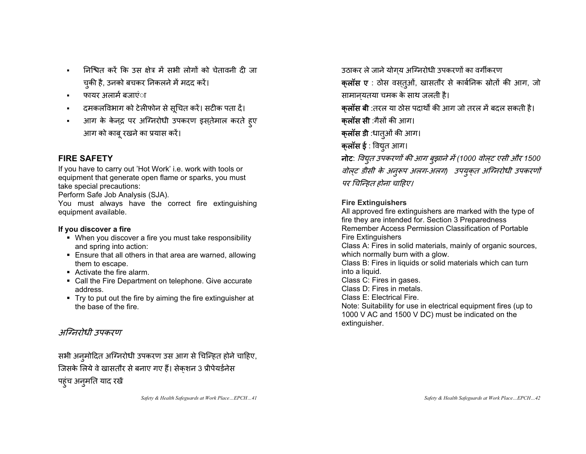- $\blacksquare$ निश्चित करें कि उस क्षेत्र में सभी लोगों को चेतावनी दी जा च्की है, उनको बचकर निकलने में मदद करें।
- $\blacksquare$ फायर अलार्म बजाएंा
- $\blacksquare$ दमकलविभाग को टेलीफोन से सुचित करें। सटीक पता दें।
- = आग के केन्द्र पर अग्निरोधी उपकरण इस्**तेमाल करते** हुए आग को काबू रखने का प्रयास करें।

#### **FIRE SAFETY**

If you have to carry out 'Hot Work' i.e. work with tools or equipment that generate open flame or sparks, you must take special precautions:

Perform Safe Job Analysis (SJA).

You must always have the correct fire extinguishing equipment available.

#### **If you discover a fire**

- When you discover a fire you must take responsibility and spring into action:
- Ensure that all others in that area are warned, allowing them to escape.
- Activate the fire alarm.
- Call the Fire Department on telephone. Give accurate address.
- Try to put out the fire by aiming the fire extinguisher at the base of the fire.

### अग्निरोधी उपकरण

सभी अनुमोदित अग्निरोधी उपकरण उस आग से चिन्हित होने चाहिए, जिसके लिये वे खासतौर से बनाए गए हैं। सेक्शन 3 प्रीपेयर्डनेस

पहुंच अनुमति याद रखें

*Safety & Health Safeguards at Work Place…EPCH…41* 

उठाकर ले जाने योगय अग्निरोधी उपकरणों का वर्गीकरण **क्लॉस ए** : ठोस वस्तुओं, खासतौर से कार्बनिक स्रोतों की आग, जो सामानयतया चमक के साथ जलती है। **क्लॉस बी** :तरल या ठोस पदार्थों की आग जो तरल में बदल सकती है। **क्लॉस सी** :गैसों की आग। **क्लॉस डी** :धातुओं की आग। **क्लॉस ई** : वियुत आग। **नोट**: *विद्युत उपकरणों की आग बुझाने में* (1000 *वोल्ट एसी और* 1500 वोल्ट डीसी के अनूरूप अलग-अलग) उपयुक्*त अग्निरोधी उपकरणों* पर चिन्हित होना चाहिए।

#### **Fire Extinguishers**

All approved fire extinguishers are marked with the type of fire they are intended for. Section 3 Preparedness Remember Access Permission Classification of Portable Fire Extinguishers Class A: Fires in solid materials, mainly of organic sources, which normally burn with a glow. Class B: Fires in liquids or solid materials which can turn into a liquid. Class C: Fires in gases. Class D: Fires in metals. Class E: Electrical Fire. Note: Suitability for use in electrical equipment fires (up to 1000 V AC and 1500 V DC) must be indicated on the extinguisher.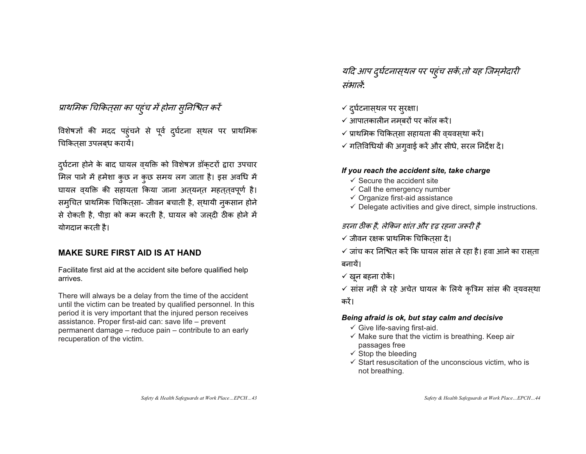#### प्राथमिक चिकित्सा का पहुंच में होना सुनिश्चित करें

विशेषज्ञों की मदद पहुं चने से पूर्व दुर्घटना स्थल पर प्राथमिक चिकित्सा उपलब्ध करायें।

दुर्घटना होने के बाद घायल वयक्ति को विशेषज्ञ डॉकटरों द्वारा उपचार मिल पाने में हमेशा कुछ न कुछ समय लग जाता है। इस अवधि में घायल वयक्ति की सहायता किया जाना अत्यनत महततवपूर्ण है। समुचित प्राथमिक चिकित्सा- जीवन बचाती है, स्थायी नुकसान होने से रोकती है, पीड़ा को कम करती है, घायल को जलदी ठीक होने में योगदान करती है।

#### **MAKE SURE FIRST AID IS AT HAND**

Facilitate first aid at the accident site before qualified help arrives.

There will always be a delay from the time of the accident until the victim can be treated by qualified personnel. In this period it is very important that the injured person receives assistance. Proper first-aid can: save life – prevent permanent damage – reduce pain – contribute to an early recuperation of the victim.

यदि आप दुर्घटनास्**थल पर पहंच सकें,तो यह जिम्**मेदारी संभालें:

- $\checkmark$  दुर्घटनास्थल पर सुरक्षा।
- $\checkmark$  आपातकालीन नमबरों पर कॉल करें।  $\tilde{\phantom{a}}$
- ✔ प्राथमिक चिकित्सा सहायता की व्यवस्था करें।
- $\checkmark$  गतिविधियों की अगुवाई करें और सीधे, सरल निर्देश दें।

#### *If you reach the accident site, take charge*

- $\checkmark$  Secure the accident site
- $\checkmark$  Call the emergency number
- $\checkmark$  Organize first-aid assistance
- $\checkmark$  Delegate activities and give direct, simple instructions.

डरना ठीक है. लेकिन शांत और दृढ रहना जरूरी है<sup>,</sup>

- $\checkmark$  जीवन रक्षक प्राथमिक चिकित्सा दें।
- ✓ जांच कर निश्चित करें कि घायल सांस ले रहा है। हवा आने का रास्ता बनायें।
- ✔ खून बहना रोकें।
- $\checkmark$  सांस नहीं ले रहे अचेत घायल के लिये कृत्रिम सांस की व्यवस्था करें।

#### *Being afraid is ok, but stay calm and decisive*

- $\checkmark$  Give life-saving first-aid.
- $\checkmark$  Make sure that the victim is breathing. Keep air passages free
- $\checkmark$  Stop the bleeding
- $\checkmark$  Start resuscitation of the unconscious victim, who is not breathing.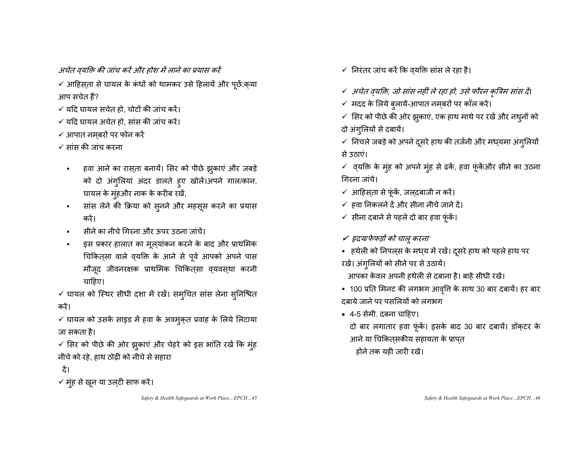अचेत वयक्ति की जांच करें और होश में लाने का प्रयास करें

 $\checkmark$  आहिस्ता से घायल के कंधों को थामकर उसे हिलायें और पूछें:क्या आप सचेत हैं?

- $\checkmark$  यदि घायल सचेत हो, चोटों की जांच करें।
- $\checkmark$  यदि घायल अचेत हो, सांस की जांच करें।
- $\checkmark$  आपात नम्बरों पर फोन करें
- $\checkmark$  सांस की जांच करना
	- $\blacksquare$ • हवा आने का रास्ता बनायें। सिर को पीछे झुकाएं और जबड़े को दो अंगुलियां अंदर डालते हुए खोलें।अपने गाल/कान, घायल के मूंहऔर नाक के करीब रखें,
	- $\blacksquare$ सांस लेने की क्रिया को सुनने और महसूस करने का प्रयास करें।
	- Е सीने का नीचे गिरना और ऊपर उठना जांचें।
	- $\blacksquare$ • इस प्रकार हालात का मूल्यांकन करने के बाद और प्राथमिक चिकित्सा वाले व्**यक्ति के आने से पूर्व आपको अपने** पास मौजूद जीवनरक्षक प्राथमिक चिकित्सा व्यवस्था करनी चाहिए।
- ✔ घायल को स्थिर सीधी दशा में रखें। समुचित सांस लेना सुनिश्चित करें।

 $\checkmark$  घायल को उसके साइड में हवा के अवमुक्त प्रवाह के लिये लिटाया जा सकता है।

 $\checkmark$  सिर को पीछे की ओर झुकाएं और चेहरे को इस भांति रखें कि मुंह नीचे को रहे. हाथ ठोढी को नीचे से सहारा

ਟੈਂ।

✓ मुंह से खून या उल्टी साफ करें।

*Safety & Health Safeguards at Work Place…EPCH…45* 

- ✔ निरंतर जांच करें कि व्यक्ति सांस ले रहा है।
- √ अचेत व्*यक्ति, जो सांस नहीं ले रहा हो, उसे फौरन कृत्रिम सांस दें*।
- ✓ मदद के लिये बुलायें-आपात नमबरों पर कॉल करें।
- ✓ सिर को पीछे की ओर झुकाएं, एक हाथ माथे पर रखें और नथुनों को दो अंगूलियों से दबायें।
- $\checkmark$  निचले जबड़े को अपने दूसरे हाथ की तर्जनी और मध्यमा अंगुलियों से उठाएं।

✓ व्यक्ति के मुंह को अपने मुंह से ढकें, हवा फूंकेंऔर सीने का उठना गिरना जांचें।

- ✔ आहिस्ता से फूंकें, जल्दबाजी न करें।
- ✔ हवा निकलने दें और सीना नीचे जाने दें।
- $\checkmark$  सीना दबाने से पहले दो बार हवा फूंकें।
- ✔ *हृदय*/फेफड़ों को चालू करना
- हथेली को निपल्स के मध्य में रखें। दूसरे हाथ को पहले हाथ पर रखें। अंग्लियों को सीने पर से उठायें।

आपका केवल अपनी हथेली से दबाना है। बाहें सीधी रखें।

- 100 प्रति मिनट की लगभग आवृत्ति के साथ 30 बार दबायें। हर बार दबाये जाने पर पसलियों को लगभग
- 4-5 सेमी. दबना चाहिए।
- दो बार लगातार हवा फूंकें। इसके बाद 30 बार दबायें। डॉक्टर के आने या चिकितसकीय सहायता के प्रापत
	- होने तक यही जारी रखें।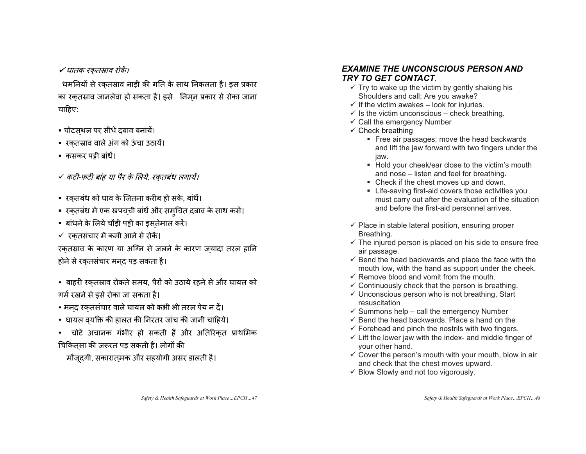✔ घातक रक्तस्राव रोकें।

धमनियों से रकतस्राव नाड़ी की गति के साथ निकलता है। इस प्रकार का रकतस्राव जानलेवा हो सकता है। इसे जिमन प्रकार से रोका जाना चाहिए:

- चोटस्थल पर सीधे दबाव बनायें।
- रक्तस्राव वाले अंग को ऊंचा उठायें।
- कसकर पट्टी बांधें।
- √ *कटी-फटी बांह या पैर के लिये, रक्तबंध लगायें।*
- रक्तबंध को घाव के जितना करीब हो सके, बांधें।
- रक्तबंध में एक खपच्ची बांधें और समुचित दबाव के साथ कसें।
- बांधने के लिये चौड़ी पट्टी का इस्तेमाल करें।
- ✔ रक्तसंचार में कमी आने से रोकें।

रकतस्राव के कारण या अग्नि से जलने के कारण जयादा तरल हानि होने से रकतसंचार मनद पड़ सकता है।

• बाहरी रक्**तस्राव रोकते समय, पैरों को उठाये रहने** से और घायल को गर्म रखने से डसे रोका जा सकता है।

- मनद रक्तसंचार वाले घायल को कभी भी तरल पेय न दें।
- घायल व्**यक्ति की हालत की निरंतर जांच की जानी** चाहिये।
- चोटें अचानक गंभीर हो सकती हैं और अतिरिक्त प्राथमिक चिकितसा की जरूरत पड सकती है। लोगों की

मौजूदगी, सकारात्मक और सहयोगी असर डालती है।

#### *EXAMINE THE UNCONSCIOUS PERSON AND TRY TO GET CONTACT.*

- $\checkmark$  Try to wake up the victim by gently shaking his Shoulders and call: Are you awake?
- $\checkmark$  If the victim awakes look for injuries.
- $\checkmark$  is the victim unconscious check breathing.
- $\checkmark$  Call the emergency Number
- $\checkmark$  Check breathing
	- **Free air passages: move the head backwards** and lift the jaw forward with two fingers under the jaw.
	- Hold your cheek/ear close to the victim's mouth and nose – listen and feel for breathing.
	- Check if the chest moves up and down.
	- Life-saving first-aid covers those activities you must carry out after the evaluation of the situation and before the first-aid personnel arrives.
- $\checkmark$  Place in stable lateral position, ensuring proper Breathing.
- $\checkmark$  The injured person is placed on his side to ensure free air passage.
- $\checkmark$  Bend the head backwards and place the face with the mouth low, with the hand as support under the cheek.
- $\checkmark$  Remove blood and vomit from the mouth.
- $\checkmark$  Continuously check that the person is breathing.
- $\checkmark$  Unconscious person who is not breathing, Start resuscitation
- $\checkmark$  Summons help call the emergency Number
- $\checkmark$  Bend the head backwards. Place a hand on the
- $\checkmark$  Forehead and pinch the nostrils with two fingers.
- $\checkmark$  Lift the lower jaw with the index- and middle finger of your other hand.
- $\checkmark$  Cover the person's mouth with your mouth, blow in air and check that the chest moves upward.
- $\checkmark$  Blow Slowly and not too vigorously.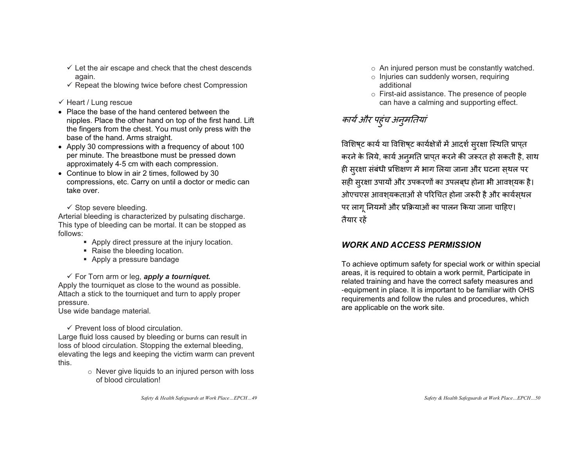- $\checkmark$  Let the air escape and check that the chest descends again.
- $\checkmark$  Repeat the blowing twice before chest Compression
- $\checkmark$  Heart / Lung rescue
- Place the base of the hand centered between the nipples. Place the other hand on top of the first hand. Lift the fingers from the chest. You must only press with the base of the hand. Arms straight.
- Apply 30 compressions with a frequency of about 100 per minute. The breastbone must be pressed down approximately 4-5 cm with each compression.
- $\bullet$  Continue to blow in air 2 times, followed by 30 compressions, etc. Carry on until a doctor or medic can take over.

 $\checkmark$  Stop severe bleeding.

Arterial bleeding is characterized by pulsating discharge. This type of bleeding can be mortal. It can be stopped as follows:

- **Apply direct pressure at the injury location.**
- Raise the bleeding location.
- Apply a pressure bandage

 $\checkmark$  For Torn arm or leg, **apply a tourniquet.** Apply the tourniquet as close to the wound as possible. Attach a stick to the tourniquet and turn to apply proper pressure.

Use wide bandage material.

 $\checkmark$  Prevent loss of blood circulation.

Large fluid loss caused by bleeding or burns can result in loss of blood circulation. Stopping the external bleeding, elevating the legs and keeping the victim warm can prevent this.

 $\circ$  Never give liquids to an injured person with loss of blood circulation!

- <sup>o</sup> An injured person must be constantly watched.
- <sup>o</sup> Injuries can suddenly worsen, requiring additional
- <sup>o</sup> First-aid assistance. The presence of people can have a calming and supporting effect.

### कार्य और पहुंच अनुमतियां

विशिष्ट कार्य या विशिष्ट कार्यक्षेत्रों में आदर्श सुरक्षा स्थिति प्राप्त करने के लिये, कार्य अनुमति प्रापत करने की जरूरत हो सकती है, साथ ही सुरक्षा संबंधी प्रशिक्षण में भाग लिया जाना और घटना स्थल पर सही सुरक्षा उपायों और उपकरणों का उपलब्ध होना भी आवश्यक है। ओएचएस आवश्यकताओं से परिचित होना जरूरी है और कार्यस्थल पर लाग नियमों और प्रक्रियाओं का पालन किया जाना चाहिए। तैयार रहें

### *WORK AND ACCESS PERMISSION*

To achieve optimum safety for special work or within special areas, it is required to obtain a work permit, Participate in related training and have the correct safety measures and -equipment in place. It is important to be familiar with OHS requirements and follow the rules and procedures, which are applicable on the work site.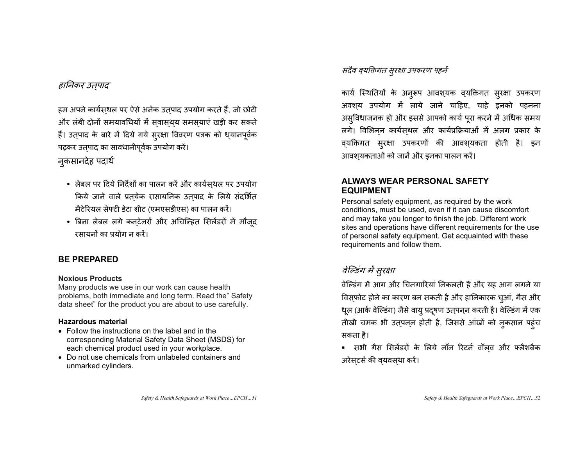#### हानिकर उतपाद

हम अपने कार्यसुथल पर ऐसे अनेक उतुपाद उपयोग करते हैं, जो छोटी और लंबी दोनों समयावधियों में सवासथय समसयाएं खड़ी कर सकते हैं। उत्पाद के बारे में दिये गये सुरक्षा विवरण पत्रक को ध्यानपूर्वक पढ़कर उत्पाद का सावधानीपूर्वक उपयोग करें।

#### नकसानदेह पदार्थ

- लेबल पर दिये निर्देशों का पालन करें और कार्यस्थल पर उपयोग किये जाने वाले प्रत्**येक रासायनिक उत्**पाद के लिये संदर्भित मैटेरियल सेफ्टी डेटा शीट (एमएसडीएस) का पालन करें।
- बिना लेबल लगे कन्टेनरों और अचिन्हित सिलेंडरों में मौजूद रसायनों का प्रयोग न करें।

#### **BE PREPARED**

#### **Noxious Products**

Many products we use in our work can cause health problems, both immediate and long term. Read the" Safety data sheet" for the product you are about to use carefully.

#### **Hazardous material**

- $\bullet$  Follow the instructions on the label and in the corresponding Material Safety Data Sheet (MSDS) for each chemical product used in your workplace.
- Do not use chemicals from unlabeled containers and unmarked cylinders.

#### सदैव व्यक्तिगत सुरक्षा उपकरण पहनें

कार्य स्थितियों के अनुरूप आवश्यक व्यक्तिगत सुरक्षा उपकरण अवशय उपयोग में लाये जाने चाहिए, चाहे इनको पहनना असविधाजनक हो और इससे आपको कार्य परा करने में अधिक समय लगे। विभिनन कार्यसथल और कार्यप्रक्रियाओं में अलग प्रकार के व्यक्तिगत सुरक्षा उपकरणों की आवश्यकता होती है। इन आवश्यकताओं को जानें और इनका पालन करें।

#### **ALWAYS WEAR PERSONAL SAFETY EQUIPMENT**

Personal safety equipment, as required by the work conditions, must be used, even if it can cause discomfort and may take you longer to finish the job. Different work sites and operations have different requirements for the use of personal safety equipment. Get acquainted with these requirements and follow them.

### वेल्डिंग में सुरक्षा

वेल्डिंग में आग और चिनगारियां निकलती हैं और यह आग लगने या विस्फोट होने का कारण बन सकती है और हानिकारक धुआं, गैस और धूल (आर्क वेल्डिंग) जैसे वायु प्रदूषण उत्पन्ल करती है। वेल्डिंग में एक तीखी चमक भी उत्पन्न होती है, जिससे आंखों को नुकसान पहंच सकता है।

■ सभी गैस सिलेंडरों के लिये नॉन रिटर्न वॉल्**व और फ्लैशबै**क अरेसटर्स की वयवसथा करें।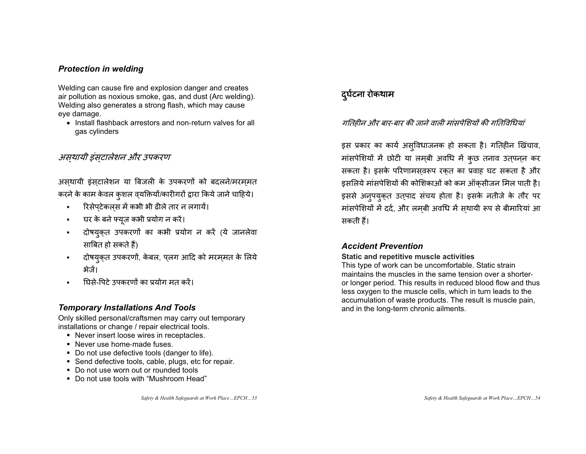#### *Protection in welding*

Welding can cause fire and explosion danger and creates air pollution as noxious smoke, gas, and dust (Arc welding). Welding also generates a strong flash, which may cause eye damage.

• Install flashback arrestors and non-return valves for all gas cylinders

#### असथायी इंसटालेशन और उपकरण

असथायी इंसटालेशन या बिजली के उपकरणों को बदलने/मरममत करने के काम केवल कुशल व्यक्तियों/कारीगरों द्वारा किये जाने चाहिये।

- $\blacksquare$ ■ रिसेपटेकलस में कभी भी ढीले तार न लगायें।  $\overline{\phantom{a}}$  $\overline{\phantom{a}}$
- $\blacksquare$ घर के बने फ्युज कभी प्रयोग न करें।
- $\blacksquare$ दोषयुक्त उपकरणों का कभी प्रयोग न करें (ये जानलेवा साबित हो सकते हैं)
- $\blacksquare$ दोषयुक्त उपकरणों, केबल, प्लग आदि को मरम्मत के लिये क्षेत्रें।
- घिसे-पिटे उपकरणों का प्रयोग मत करें।

#### *Temporary Installations And Tools*

Only skilled personal/craftsmen may carry out temporary installations or change / repair electrical tools.

- Never insert loose wires in receptacles.
- Never use home-made fuses.
- Do not use defective tools (danger to life).
- Send defective tools, cable, plugs, etc for repair.
- Do not use worn out or rounded tools
- Do not use tools with "Mushroom Head"

*Safety & Health Safeguards at Work Place…EPCH…53* 

### दर्घटना रोकथाम

#### गतिहीन और बार-बार की जाने वाली मांसपेशियों की गतिविधियां

इस प्रकार का कार्य अस्**विधाजनक हो सकता है। गतिहीन खिंचा**व, मा सपेशियों में छोटी या लम्बी अवधि में में कुछ तनाव उत्**पन्**न कर सकता है। इसके परिणामसवरूप रकत का प्रवाह घट सकता है और डसलिये मांसपेशियों की कोशिकाओं को कम ऑकसीजन मिल पाती है। इससे अनूपयुक़त उतुपाद संचय होता है। इसके नतीजे के तौर पर मा सपेशियों में दर्द, और लम्बी अवधि में स्थायी रूप से बीमारियां आ सकती हैं।

#### *Accident Prevention*

#### **Static and repetitive muscle activities**

This type of work can be uncomfortable. Static strain maintains the muscles in the same tension over a shorteror longer period. This results in reduced blood flow and thus less oxygen to the muscle cells, which in turn leads to the accumulation of waste products. The result is muscle pain, and in the long-term chronic ailments.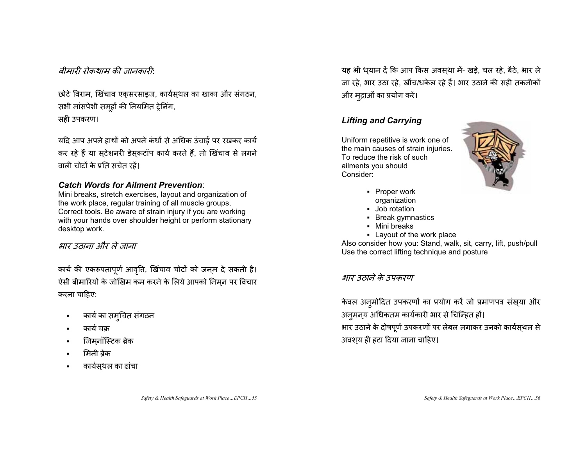#### बीमारी रोकथाम की जानकारी<sup>.</sup>

छोटे विराम, खिंचाव एकसरसाइज, कार्यसथल का खाका और संगठन, सभी मांसपेशी समूहों की नियमित ट्रेनिंग,

सही उपकरण।

यदि आप अपने हाथों को अपने कंधों से अधिक उंचाई पर रखकर कार्य कर रहे हैं या सटेशनरी डेसकटॉप कार्य करते हैं, तो खिंचाव से लगने वाली चोटों के प्रति सचेत रहें।

#### *Catch Words for Ailment Prevention*:

Mini breaks, stretch exercises, layout and organization of the work place, regular training of all muscle groups, Correct tools. Be aware of strain injury if you are working with your hands over shoulder height or perform stationary desktop work.

#### भार उठाना और ले जाना

कार्य की एकरूपतापूर्ण आवृति, खिंचाव चोटों को जन्म दे सकती है। ऐसी बीमारियों के जोखिम कम करने के लिये आपको निमन पर विचार  $\overline{\phantom{a}}$ करना चाहिए:

- कार्य का समुचित संगठन
- कार्य चक्र
- Е • जिमनॉस्टिक ब्रेक  $\overline{\phantom{0}}$
- मिनी बेक
- Е • कार्यस्थल का ढांचा

यह भी धयान दें कि आप किस अवसथा में- खड़े, चल रहे, बैठे, भार ले जा रहे, भार उठा रहे, खींच/धकेल रहे हैं। भार उठाने की सही तकनीकों और मुद्राओं का प्रयोग करें।

#### *Lifting and Carrying*

Uniform repetitive is work one of the main causes of strain injuries. To reduce the risk of such ailments you should Consider:



- Proper work organization
- Job rotation
- Break gymnastics
- Mini breaks
- Layout of the work place

Also consider how you: Stand, walk, sit, carry, lift, push/pull Use the correct lifting technique and posture

#### भार उठाने के उपकरण

केवल अनुमोदित उपकरणों का प्रयोग करें जो प्रमाणपत्र संख्या और अनुमन्य अधिकतम कार्यकारी भार से चिन्हित हों। भार उठाने के दोषपूर्ण उपकरणों पर लेबल लगाकर उनको कार्यस्थल से अवशय ही हटा दिया जाना चाहिए।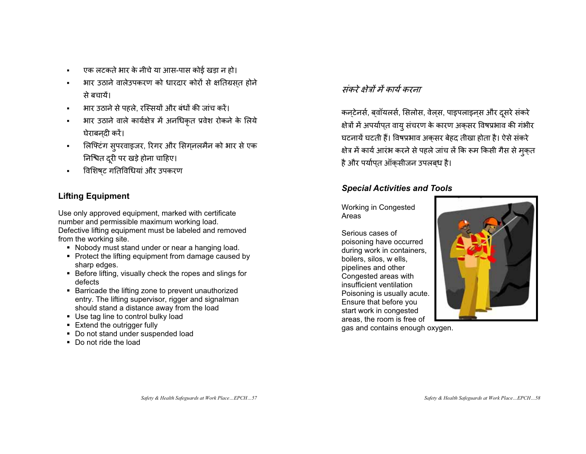- $\blacksquare$ एक लटकते भार के नीचे या आस-पास कोई खड़ा न हो।
- भार उठाने वालेउपकरण को धारदार कोरों से क्षतिग्रसत होने से बचायें।
- $\blacksquare$ भार उठाने से पहले. रस्सियों और बंधों की जांच करें।
- भार उठाने वाले कार्यक्षेत्र में अनधिकृत प्रवेश रोकने के लिये घेराबनदी करें।
- $\blacksquare$ • लिफ्टिंग सुपरवाइजर, रिगर और सिग्ललमैन को भार से एक निश्चित दूरी पर खड़े होना चाहिए।
- Е • विशिष्ट गतिविधियां और उपकरण

#### **Lifting Equipment**

Use only approved equipment, marked with certificate number and permissible maximum working load. Defective lifting equipment must be labeled and removed from the working site.

- Nobody must stand under or near a hanging load.
- Protect the lifting equipment from damage caused by sharp edges.
- Before lifting, visually check the ropes and slings for defects
- **Barricade the lifting zone to prevent unauthorized** entry. The lifting supervisor, rigger and signalman should stand a distance away from the load
- Use tag line to control bulky load
- Extend the outrigger fully
- Do not stand under suspended load
- Do not ride the load

#### संकरे क्षेत्रों में कार्य करना

कन्टेनर्स, ब्वॉयलर्स, सिलोस, वेल्स, पाइपलाइन्स और दूसरे संकरे क्षेत्रों में अपर्याप्त वायु सं चरण के कारण अक्सर विषप्रभाव की गंभीर घटनायें घटती हैं। विषप्रभाव अकसर बेहद तीखा होता है। ऐसे संकरे क्षेत्र में कार्य आरंभ करने से पहले जांच लें कि रूम किसी गैस से मुक्त है और पर्यापत ऑकसीजन उपलबध है।

#### *Special Activities and Tools*

Working in Congested Areas

Serious cases of poisoning have occurred during work in containers, boilers, silos, w ells, pipelines and other Congested areas with insufficient ventilation Poisoning is usually acute. Ensure that before you start work in congested areas, the room is free of gas and contains enough oxygen.

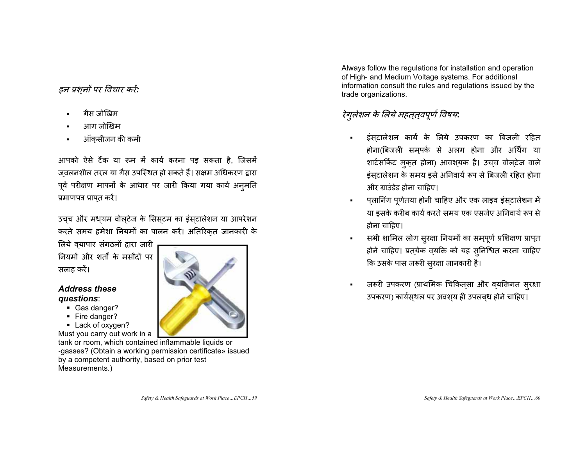#### *इन प्रशनों पर विचार करें:*

- गैस जोखिम
- Е आग जोखिम
- ऑक्सीजन की कमी

आपको ऐसे टैंक या रूम में कार्य करना पड़ सकता है, जिसमें ज़वलनशील तरल या गैस उपस्थित हो सकते हैं। सक्षम अधिकरण द्वारा  $\overline{\phantom{a}}$ पूर्व परीक्षण मापनों के आधार पर जारी किया गया कार्य अनुमति प्रमाणपत्र प्राप्त करें।

उच्च और मध्यम वोल्टेज के सिस्टम का इंस्टालेशन या आपरेशन करते समय हमेशा नियमों का पालन करें। अतिरिकत जानकारी के

लिये व्यापार संगठनों द्वारा जारी नियमों और शर्तों के मसौदों पर सलाह करें।

#### *Address these questions*:

- Gas danger?
- Fire danger?
- **Lack of oxygen?**

Must you carry out work in a tank or room, which contained inflammable liquids or -gasses? (Obtain a working permission certificate» issued by a competent authority, based on prior test Measurements.)

Always follow the regulations for installation and operation of High- and Medium Voltage systems. For additional information consult the rules and regulations issued by the trade organizations.

### रेगुलेशन के लिये महत्**त्**वपूर्ण विषय:

- - इं स्**टालेशन कार्य के लिये उपकरण का बिजली** रहित होना(बिजली समपर्क से अलग होना और अर्थिंग या शार्टसर्किट मुक्त होना) आवश्**यक है। उच्**च वोल्**टेज वाले** इं स्टालेशन के समय इसे अनिवार्य रूप से बिजली रहित होना और ग्राउंडेड होना चाहिए।
- п • प्लानिंग पू ग पूर्णतया होनी चाहिए और एक लाइव इंस्टालेशन में या इसके करीब कार्य करते समय एक एसजेए अनिवार्य रूप से होना चाहिए।
- • सभी शामिल लोग सुरक्षा नियमों का सम्पूर्ण प्रशिक्षण प्राप्त होने चाहिए। प्रत्**येक व्**यक्ति को यह स्**निश्चित करना चाहिए** कि उसके पास जरूरी सुरक्षा जानकारी है।
- जरूरी उपकरण (प्राथमिक चिकित्सा और व्यक्तिगत सुरक्षा उपकरण) कार्यसथल पर अवशय ही उपलबध होने चाहिए।

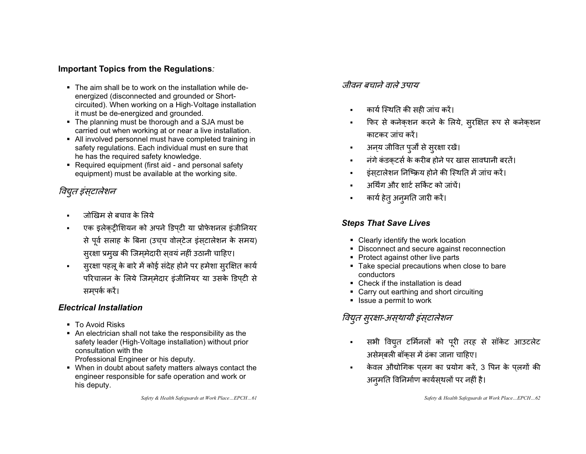#### **Important Topics from the Regulations***:*

- The aim shall be to work on the installation while deenergized (disconnected and grounded or Shortcircuited). When working on a High-Voltage installation it must be de-energized and grounded.
- The planning must be thorough and a SJA must be carried out when working at or near a live installation.
- All involved personnel must have completed training in safety regulations. Each individual must en sure that he has the required safety knowledge.
- Required equipment (first aid and personal safety equipment) must be available at the working site.

### विद्युत इंसटालेशन

- जोखिम से बचाव के लिये
- Е एक इलेकट्रीशियन को अपने डिपटी या प्रोफेशनल इंजीनियर से पूर्व सलाह के बिना (उच्च वोल्टेज इंस्टालेशन के समय) सुरक्षा प्रमुख की जिम्मेदारी स्**वयं नहीं उठानी चाहिए**।
- $\blacksquare$ ■ सुरक्षा पहलू के बारे में कोई संदेह होने पर हमेशा सुरक्षित कार्य परिचालन के लिये जिममेदार इंजीनियर या उसके डिपटी से समपर्क करें।

#### *Electrical Installation*

- To Avoid Risks
- An electrician shall not take the responsibility as the safety leader (High-Voltage installation) without prior consultation with the Professional Engineer or his deputy.
- When in doubt about safety matters always contact the engineer responsible for safe operation and work or his deputy.

*Safety & Health Safeguards at Work Place…EPCH…61* 

#### जीवन बचाने वाले उपाय

- п कार्य स्थिति की सही जांच करें।
- फिर से कनेकशन करने के लिये, सुरक्षित रूप से कनेकशन काटकर जांच करें।
- $\blacksquare$ अनय जीवित पूर्जों से सुरक्षा रखें।
- त्नंगे कंडकटर्स के करीब होने पर खास सावधानी बरतें।
- इंसटालेशन निष्क्रिय होने की स्थिति में जांच करें।
- अर्थिंग और शार्ट सर्किट को जांचें।
- कार्य हेत् अनूमति जारी करें।

#### *Steps That Save Lives*

- Clearly identify the work location
- Disconnect and secure against reconnection
- Protect against other live parts
- **Take special precautions when close to bare** conductors
- Check if the installation is dead
- Carry out earthing and short circuiting
- **In Issue a permit to work**

### विद्युत सुरक्षा-अस्**थायी इंस्**टालेशन

- सभी विद्युत टर्मिनलों को पूरी तरह से सॉकेट आउटलेट असेमबली बॉकस में ढंका जाना चाहिए।
- п केवल औद्योगिक पुलग का प्रयोग करें, 3 पिन के पुलगों की अन्मति विनिर्माण कार्यस्थलों पर नहीं है।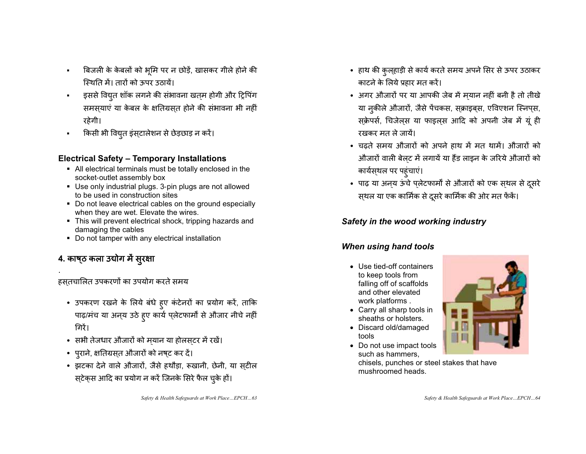- $\blacksquare$ बिजली के केबलों को भूमि पर न छोड़ें, खासकर गीले होने की स्थिति में। तारों को ऊपर उठायें।
- $\blacksquare$ इससे विद्युत शॉक लगने की संभावना खत्म होगी और ट्रिपिंग समस्याएं या केबल के क्षतिग्रस्त होने की संभावना भी नहीं रहेगी।
- × किसी भी विद्युत इंस्टालेशन से छेड़छाड़ न करें।

### **Electrical Safety – Temporary Installations**

- All electrical terminals must be totally enclosed in the socket-outlet assembly box
- Use only industrial plugs. 3-pin plugs are not allowed to be used in construction sites
- Do not leave electrical cables on the ground especially when they are wet. Elevate the wires.
- This will prevent electrical shock, tripping hazards and damaging the cables
- Do not tamper with any electrical installation

### 4. काष्**ठ कला उद्योग में सुरक्षा**

हसतचालित उपकरणों का उपयोग करते समय

- उपकरण रखने के लिये बंधे हुए कंटेनरों का प्रयोग करें, ताकि पाढ़/मंच या अन्य उठे हूए कार्य प्लेटफार्मों से औजार नीचे नहीं ग्निरैं।
- सभी तेजधार औजारों को म्यान या होलस्टर में रखें।
- पुराने, क्षतिग्रस्त औजारों को नष्ट कर दें।
- झटका देने वाले औजारों, जैसे हथौड़ा, रूखानी, छेनी, या स्**टी**ल स्टेक्स आदि का प्रयोग न करें जिनके सिरे फैल चुके हों।
- हाथ की कुल्हाड़ी से कार्य करते समय अपने सिर से ऊपर उठाकर काटने के लिये प्रहार मत करें।
- अगर औजारों पर या आपकी जेब में म्यान नहीं बनी है तो तीखे या नकीले औजारों, जैसे पेंचकस, सक्राइबस, एविएशन स्निप्स, स्क्रेपर्स, चिजेल्स या फाइल्स आदि को अपनी जेब में यूं ही रखकर मत ले जायें।
- चढ़ते समय औजारों को अपने हाथ में मत थामें। औजारों को औजारों वाली बेलट में लगायें या हैंड लाइन के जरिये औजारों को कार्यस्थल पर पहंचाएं।
- पाढ़ या अन्य ऊंचे प्लेटफार्मों से औजारों को एक स्थल से दूसरे स्थल या एक कार्मिक से दूसरे कार्मिक की ओर मत फेंके।

### *Safety in the wood working industry*

### *When using hand tools*

- Use tied-off containers to keep tools from falling off of scaffolds and other elevated work platforms .
- Carry all sharp tools in sheaths or holsters.
- Discard old/damaged tools
- Do not use impact tools such as hammers,

chisels, punches or steel stakes that have mushroomed heads.

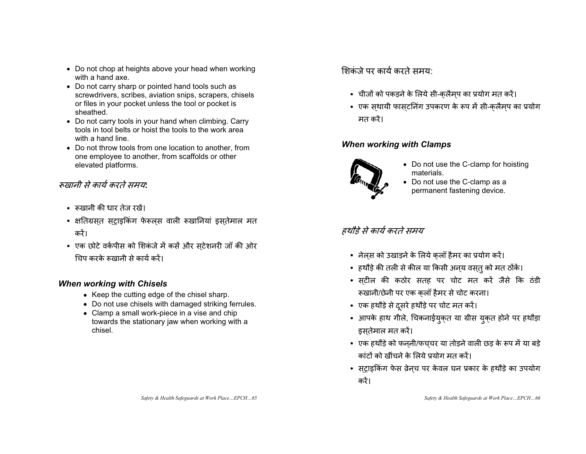- Do not chop at heights above your head when working with a hand axe.
- Do not carry sharp or pointed hand tools such as screwdrivers, scribes, aviation snips, scrapers, chisels or files in your pocket unless the tool or pocket is sheathed.
- Do not carry tools in your hand when climbing. Carry tools in tool belts or hoist the tools to the work area with a hand line.
- Do not throw tools from one location to another, from one employee to another, from scaffolds or other elevated platforms.

#### रूख़ानी से कार्य करते समय:

- रूखानी की धार तेज रखें।
- क्षतिग्रस्त सट्राइकिंग फेरूल्स वाली रूखानियां इस्तेमाल मत करें।
- एक छोटे वर्कपीस को शिकंजे में कसें और सटेशनरी जॉ की ओर  $\overline{\phantom{0}}$ चिप करके रूखानी से कार्य करें।

#### *When working with Chisels*

- Keep the cutting edge of the chisel sharp.
- Do not use chisels with damaged striking ferrules.
- $\bullet$  Clamp a small work-piece in a vise and chip towards the stationary jaw when working with a chisel.

<u>शिकंजे पर कार्य करते समय </u>

- चीजों को पकड़ने के लिये सी-क्लैम्प का प्रयोग मत करें।
- एक स्थायी फास्टनिंग उपकरण के रूप में सी-क्लैम्प का प्रयोग मत करें।

#### *When working with Clamps*



- Do not use the C-clamp for hoisting materials.
- Do not use the C-clamp as a permanent fastening device.

#### हथौड़े से कार्य करते समय

- नेल्स को उखाड़ने के लिये क्लॉ हैमर का प्रयोग करें।
- हथौड़े की तली से कील या किसी अन्*य वस्*तु को मत ठोंकें।
- स्टील की कठोर सतह पर चोट मत करें जैसे कि ठंडी रूखानी/छेनी पर एक क्लॉ हैमर से चोट करना।
- एक हथौड़े से दूसरे हथौड़े पर चोट मत करें।
- आपके हाथ गीले, चिकनाईयुक्त या ग्रीस युक्त होने पर हथौड़ा इसतेमाल मत करें।
- एक हथौड़े को फन्**नी/फच्**चर या तोड़ने वाली छड़ के रूप में या बड़े कांटों को खींचने के लिये प्रयोग मत करें।
- स्ट्राइकिंग फेस व्रेन्च पर केवल घन प्रकार के हथौड़े का उपयोग करें।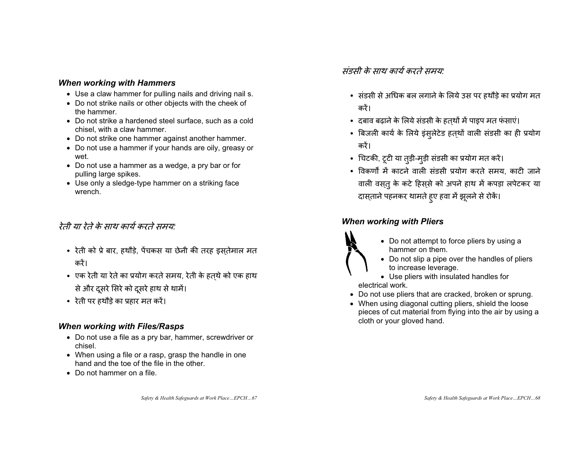#### *When working with Hammers*

- Use a claw hammer for pulling nails and driving nail s.
- Do not strike nails or other objects with the cheek of the hammer.
- Do not strike a hardened steel surface, such as a cold chisel, with a claw hammer.
- Do not strike one hammer against another hammer.
- Do not use a hammer if your hands are oily, greasy or wet.
- Do not use a hammer as a wedge, a pry bar or for pulling large spikes.
- Use only a sledge-type hammer on a striking face wrench.

#### रेती या रेते के साथ कार्य करते समय:

- रेती को प्रे बार, हथौड़े, पेंचकस या छेनी की तरह इस्तेमाल मत करें।
- एक रेती या रेते का प्रयोग करते समय, रेती के हत्थे को एक हाथ से और दूसरे सिरे को दूसरे हाथ से थामें।
- रेती पर हथौड़े का प्रहार मत करें।

#### *When working with Files/Rasps*

- Do not use a file as a pry bar, hammer, screwdriver or chisel.
- When using a file or a rasp, grasp the handle in one hand and the toe of the file in the other.
- Do not hammer on a file.

संडसी के साथ कार्य करते समय:

- संडसी से अधिक बल लगाने के लिये उस पर हथौड़े का प्रयोग मत करें।
- दबाव बढ़ाने के लिये संडसी के हत्थों में पाइप मत फंसाएं।
- बिजली कार्य के लिये इंसुलेटेड हत्थों वाली संडसी का ही प्रयोग करें।
- चिटकी, टूटी या तुड़ी-मुड़ी संडसी का प्रयोग मत करें।
- विकर्णों में काटने वाली संडसी प्रयोग करते समय, काटी जाने वाली वस्तु के कटे हिस्से को अपने हाथ में कपड़ा लपेटकर या दास्ताने पहनकर थामते हुए हवा में झूलने से रोकें।

#### *When working with Pliers*



- Do not attempt to force pliers by using a hammer on them.
- Do not slip a pipe over the handles of pliers to increase leverage.

• Use pliers with insulated handles for electrical work.

- Do not use pliers that are cracked, broken or sprung.
- When using diagonal cutting pliers, shield the loose pieces of cut material from flying into the air by using a cloth or your gloved hand.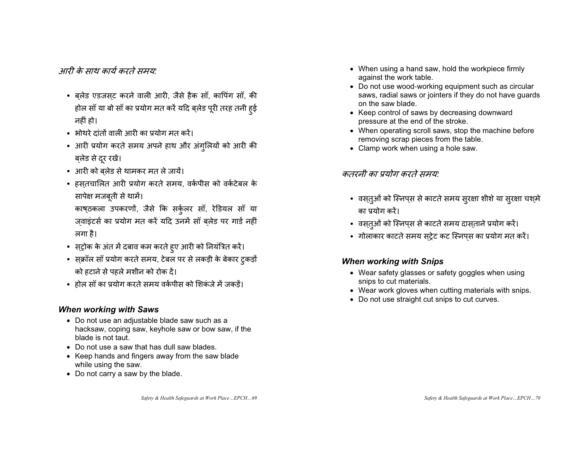आरी के माथ कार्य करते ममयः

- ब्**लेड एडजस्**ट करने वाली आरी, जैसे हैक सॉ, कापिंग सॉ, की होल सॉ या बो सॉ का प्रयोग मत करें यदि ब्लेड पूरी तरह तनी हुई नहीं हो।
- भोथरे दांतों वाली आरी का प्रयोग मत करें।
- आरी प्रयोग करते समय अपने हाथ और अंगुलियों को आरी की बलेड से दूर रखें।
- आरी को ब्लेड से थामकर मत ले जायें।
- हस्तचालित आरी प्रयोग करते समय, वर्कपीस को वर्कटेबल के सापेक्ष मजबूती से थामें।

काष्ठकला उपकरणों, जैसे कि सर्कुलर सॉ, रेडियल सॉ या जवाइंटर्स का प्रयोग मत करें यदि उनमें सॉ बलेड पर गार्ड नहीं लगा है।

- स्ट्रोक के अंत में दबाव कम करते हुए आरी को नियंत्रित करें।
- स्क्रॉल सॉ प्रयोग करते समय, टेबल पर से लकड़ी के बेकार टुकड़ों को हटाने से पहले मशीन को रोक दें।
- होल सॉ का प्रयोग करते समय वर्कपीस को शिकंजे में जकड़ें।

#### *When working with Saws*

- Do not use an adjustable blade saw such as a hacksaw, coping saw, keyhole saw or bow saw, if the blade is not taut.
- Do not use a saw that has dull saw blades.
- Keep hands and fingers away from the saw blade while using the saw.
- Do not carry a saw by the blade.
- When using a hand saw, hold the workpiece firmly against the work table.
- Do not use wood-working equipment such as circular saws, radial saws or jointers if they do not have guards on the saw blade.
- Keep control of saws by decreasing downward pressure at the end of the stroke.
- When operating scroll saws, stop the machine before removing scrap pieces from the table.
- $\bullet$  Clamp work when using a hole saw.

### कतरनी का प्रयोग करते समय:

- वस्तुओं को स्निप्स से काटते समय सुरक्षा शीशे या सुरक्षा चश्मे का प्रयोग करें।
- वस्तुओं को स्निप्स से काटते समय दास्ताने प्रयोग करें।
- गोलाकार काटते समय स्ट्रेट कट स्निप्स का प्रयोग मत करें।

#### *When working with Snips*

- Wear safety glasses or safety goggles when using snips to cut materials.
- Wear work gloves when cutting materials with snips.
- Do not use straight cut snips to cut curves.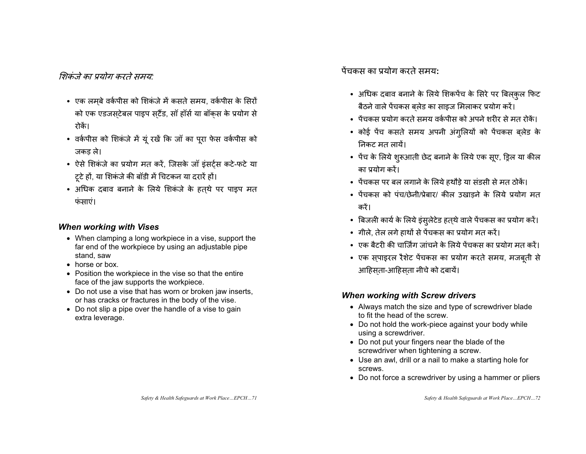#### शिकंजे का प्रयोग करते समय<sup>.</sup>

- एक लम्बे वर्कपीस को शिकंजे में कसते समय, वर्कपीस के सिरों को एक एडजस्टेबल पाइप स्टैंड, सॉ हॉर्स या बॉक्स के प्रयोग से रोकें।
- वर्कपीस को शिकंजे में यूं रखें कि जॉ का पूरा फेस वर्कपीस को जकड ले।
- ऐसे शिकंजे का प्रयोग मत करें, जिसके जॉ इंसर्ट्स कटे-फटे या टूटे हों, या शिकंजे की बॉडी में चिटकन या दरारें हों।
- अधिक दबाव बनाने के लिये शिकंजे के हत्थे पर पाइप मत फंसाएं।

#### *When working with Vises*

- When clamping a long workpiece in a vise, support the far end of the workpiece by using an adjustable pipe stand, saw
- horse or box.
- Position the workpiece in the vise so that the entire face of the jaw supports the workpiece.
- Do not use a vise that has worn or broken jaw inserts, or has cracks or fractures in the body of the vise.
- Do not slip a pipe over the handle of a vise to gain extra leverage.

पेंचकम का पयोग करते ममय<sup>.</sup>

- अधिक दबाव बनाने के लिये शिकपेंच के सिरे पर बिल्कुल फिट बैठने वाले पेंचकस बलेड का साइज मिलाकर प्रयोग करें।
- पेंचकस प्रयोग करते समय वर्कपीस को अपने शरीर से मत रोकें।
- कोई पेंच कसते समय अपनी अंगुलियों को पेंचकस ब्लेड के निकट मत लायें।
- पेंच के लिये शुरूआती छेद बनाने के लिये एक सूए, ड्रिल या कील का प्रयोग करें।
- पेंचकस पर बल लगाने के लिये हथौड़े या संडसी से मत ठोकें।
- पेंचकस को पंच/छेनी/प्रेबार/ कील उखाड़ने के लिये प्रयोग मत करें।
- बिजली कार्य के लिये इंसुलेटेड हत्थे वाले पेंचकस का प्रयोग करें।
- गीले, तेल लगे हाथों से पेंचकस का प्रयोग मत करें।
- एक बैटरी की चार्जिंग जांचने के लिये पेंचकस का प्रयोग मत करें।
- एक स्पाइरल रैशेट पेंचकस का प्रयोग करते समय, मजबूती से आहिसता-आहिसता नीचे को दबायें।

#### *When working with Screw drivers*

- Always match the size and type of screwdriver blade to fit the head of the screw.
- Do not hold the work-piece against your body while using a screwdriver.
- Do not put your fingers near the blade of the screwdriver when tightening a screw.
- Use an awl, drill or a nail to make a starting hole for screws.
- Do not force a screwdriver by using a hammer or pliers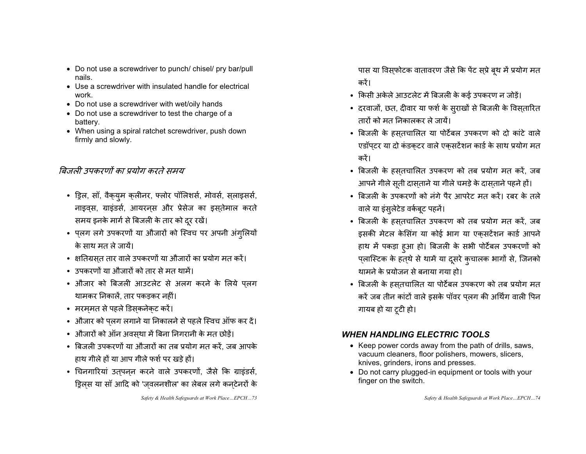- Do not use a screwdriver to punch/ chisel/ pry bar/pull nails.
- $\bullet$  Use a screwdriver with insulated handle for electrical work.
- Do not use a screwdriver with wet/oily hands
- Do not use a screwdriver to test the charge of a battery.
- When using a spiral ratchet screwdriver, push down firmly and slowly.

### बिजली उपकरणों का प्रयोग करते समय

- ड्रिल, सॉ, वैक्युम क्लीनर, फ्लोर पॉलिशर्स, मोवर्स, स्लाइसर्स, नाइवस, ग्राइंडर्स, आयरनस और प्रेसेज का इसतेमाल करते समय इनके मार्ग से बिजली के तार को दूर रखें।
- प्लग लगे उपकरणों या औजारों को स्विच पर अपनी अंगुलियों के साथ मत ले जायें।
- क्षतिग्रस्त तार वाले उपकरणों या औजारों का प्रयोग मत करें।
- उपकरणों या औजारों को तार से मत थामें।
- औजार को बिजली आउटलेट से अलग करने के लिये प्लग थामकर निकालें. तार पकडकर नहीं।
- मरम्मत से पहले डिस्कनेक्ट करें।
- औजार को प्लग लगाने या निकालने से पहले स्विच ऑफ कर दें।
- औजारों को ऑन अवस्था में बिना निगरानी के मत छोड़ें।
- बिजली उपकरणों या औजारों का तब प्रयोग मत करें, जब आपके हाथ गीले हों या आप गीले फर्श पर खड़े हों।
- चिनगारियां उत्**पन्**न करने वाले उपकरणों, जैसे कि ग्राइंडर्स, ड्रिल्स या सॉ आदि को 'ज्वलनशील' का लेबल लगे कन्टेनरों के

*Safety & Health Safeguards at Work Place…EPCH…73* 

पास या विस़फोटक वातावरण जैसे कि पेंट सप्रे ब्थ में प्रयोग मत करें।

- किसी अकेले आउटलेट में बिजली के कई उपकरण न जोड़ें।
- दरवाजों, छत, दीवार या फर्श के सुराखों से बिजली के विस्*ता*रित तारों को मत निकालकर ले जायें।
- बिजली के हस्तचालित या पोर्टेबल उपकरण को दो कांटे वाले एडॉपटर या दो कंडकटर वाले एकसटेंशन कार्ड के साथ प्रयोग मत करें।
- बिजली के हस्तचालित उपकरण को तब प्रयोग मत करें, जब आपने गीले सूती दासताने या गीले चमड़े के दासताने पहने हों।
- बिजली के उपकरणों को नंगे पैर आपरेट मत करें। रबर के तले वाले या इंसुलेटेड वर्कबूट पहनें।
- बिजली के हस्तचालित उपकरण को तब प्रयोग मत करें, जब इसकी मेटल केसिंग या कोई भाग या एकसटेंशन कार्ड आपने हाथ में पकड़ा हुआ हो। बिजली के सभी पोर्टेबल उपकरणों को प्लास्टिक के हत्थे से थामें या दूसरे कुचालक भागों से, जिनको थामने के प्रयोजन से बनाया गया हो।
- बिजली के हस्तचालित या पोर्टेबल उपकरण को तब प्रयोग मत करें जब तीन कांटों वाले इसके पॉवर पलग की अर्थिंग वाली पिन गायब हो या टूटी हो।

#### *WHEN HANDLING ELECTRIC TOOLS*

- Keep power cords away from the path of drills, saws, vacuum cleaners, floor polishers, mowers, slicers, knives, grinders, irons and presses.
- Do not carry plugged-in equipment or tools with your finger on the switch.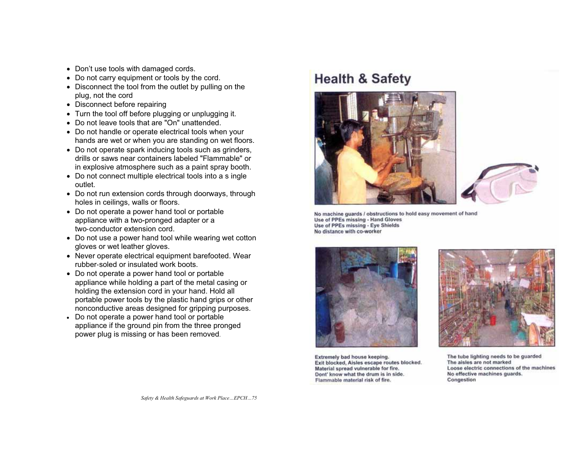- Don't use tools with damaged cords.
- Do not carry equipment or tools by the cord.
- Disconnect the tool from the outlet by pulling on the plug, not the cord
- Disconnect before repairing
- Turn the tool off before plugging or unplugging it.
- Do not leave tools that are "On" unattended.
- Do not handle or operate electrical tools when your hands are wet or when you are standing on wet floors.
- Do not operate spark inducing tools such as grinders, drills or saws near containers labeled "Flammable" or in explosive atmosphere such as a paint spray booth.
- Do not connect multiple electrical tools into a s ingle outlet.
- Do not run extension cords through doorways, through holes in ceilings, walls or floors.
- Do not operate a power hand tool or portable appliance with a two-pronged adapter or a two-conductor extension cord.
- Do not use a power hand tool while wearing wet cotton gloves or wet leather gloves.
- Never operate electrical equipment barefooted. Wear rubber-soled or insulated work boots.
- Do not operate a power hand tool or portable appliance while holding a part of the metal casing or holding the extension cord in your hand. Hold all portable power tools by the plastic hand grips or other nonconductive areas designed for gripping purposes.
- Do not operate a power hand tool or portable appliance if the ground pin from the three pronged power plug is missing or has been removed.

## **Health & Safety**





No machine guards / obstructions to hold easy movement of hand Use of PPEs missing - Hand Gloves Use of PPEs missing - Eye Shields No distance with co-worker





Extremely bad house keeping. Exit blocked, Aisles escape routes blocked. Material spread vulnerable for fire. Dont' know what the drum is in side. Flammable material risk of fire.

The tube lighting needs to be guarded The aisles are not marked Loose electric connections of the machines No effective machines guards. Congestion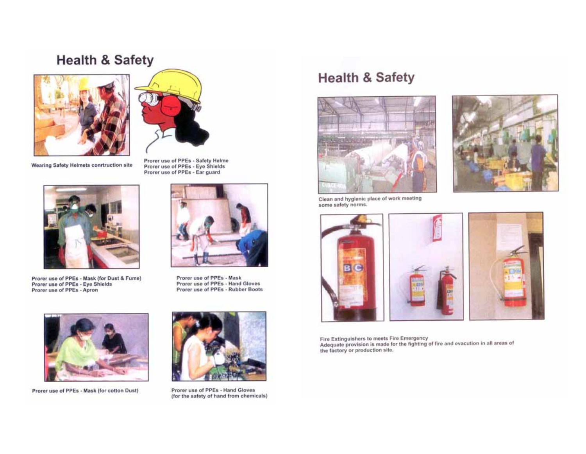### **Health & Safety**



Wearing Safety Helmets conrtruction site



Prorer use of PPEs - Mask (for Dust & Fume)<br>Prorer use of PPEs - Eye Shields<br>Prorer use of PPEs - Apron



Prorer use of PPEs - Safety Helme<br>Prorer use of PPEs - Eye Shields<br>Prorer use of PPEs - Ear guard



Prorer use of PPEs - Mask Prorer use of PPEs - Hand Gloves Prorer use of PPEs - Rubber Boots



Prorer use of PPEs - Mask (for cotton Dust)



Prorer use of PPEs - Hand Gloves (for the safety of hand from chemicals)

## **Health & Safety**





Clean and hygienic place of work meeting some safety norms.



Fire Extinguishers to meets Fire Emergency<br>Adequate provision is made for the fighting of fire and evacution in all areas of the factory or production site.